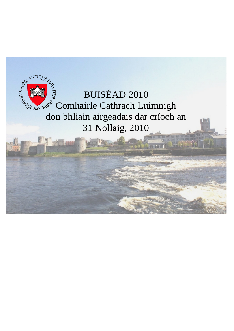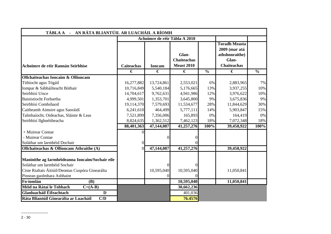| TÁBLA A - AN RÁTA BLIANTÚIL AR LUACHÁIL A RÍOMH                                 |                   |               |                                                  |               |                                                                                        |               |
|---------------------------------------------------------------------------------|-------------------|---------------|--------------------------------------------------|---------------|----------------------------------------------------------------------------------------|---------------|
|                                                                                 |                   |               | Achoimre de réir Tábla A 2010                    |               |                                                                                        |               |
| Achoimre de réir Rannán Seirbhíse                                               | <b>Caiteachas</b> | <b>Ioncam</b> | Glan-<br><b>Chaiteachas</b><br><b>Meast 2010</b> |               | <b>Toradh Measta</b><br>2009 (mar atá<br>athshonraithe)<br>Glan-<br><b>Chaiteachas</b> |               |
|                                                                                 | €                 | €             | €                                                | $\frac{0}{0}$ | €                                                                                      | $\frac{0}{0}$ |
| <b>Ollchaiteachas Ioncaim &amp; Ollioncam</b>                                   |                   |               |                                                  |               |                                                                                        |               |
| Tithíocht agus Tógáil                                                           | 16,277,882        | 13,724,861    | 2,553,021                                        | 6%            | 2,883,965                                                                              | 7%            |
| Iompar & Sábháilteacht Bóthair                                                  | 10,716,849        | 5,540,184     | 5,176,665                                        | 13%           | 3,937,255                                                                              | 10%           |
| Seirbhísí Uisce                                                                 | 14,704,617        | 9,762,631     | 4,941,986                                        | 12%           | 3,976,622                                                                              | 10%           |
| Bainistíocht Forbartha                                                          | 4,999,501         | 1,353,701     | 3,645,800                                        | 9%            | 3,675,836                                                                              | 9%            |
| Seirbhísí Comhshaoil                                                            | 19,114,370        | 7,579,693     | 11,534,677                                       | 28%           | 11,844,629                                                                             | 30%           |
| Caitheamh Aimsire agus Saoráidí                                                 | 6,241,610         | 464,499       | 5,777,111                                        | 14%           | 5,903,847                                                                              | 15%           |
| Talmhaíocht, Oideachas, Sláinte & Leas                                          | 7,521,899         | 7,356,006     | 165,893                                          | 0%            | 164,419                                                                                | 0%            |
| Seirbhísí Ilghnéitheacha                                                        | 8,824,635         | 1,362,512     | 7,462,123                                        | 18%           | 7,072,348                                                                              | 18%           |
|                                                                                 | 88,401,363        | 47,144,087    | 41,257,276                                       | 100%          | 39,458,922                                                                             | 100%          |
| + Muirear Contae                                                                |                   |               |                                                  |               |                                                                                        |               |
| - Muirear Contae                                                                |                   | $\Omega$      |                                                  |               |                                                                                        |               |
| Soláthar um Iarmhéid Dochair                                                    |                   |               |                                                  |               |                                                                                        |               |
| Ollchaiteachas & Ollioncam Athraithe (A)                                        | 0                 | 47,144,087    | 41,257,276                                       |               | 39,458,922                                                                             |               |
|                                                                                 |                   |               |                                                  |               |                                                                                        |               |
| Maoinithe ag Iarmhéideanna Ioncaim/Sochair eile<br>Soláthar um Iarmhéid Sochair |                   | $\Omega$      |                                                  |               |                                                                                        |               |
| Ciste Rialtais Áitiúil/Deontas Cuspóra Ginearálta                               |                   | 10,595,040    | 10,595,040                                       |               | 11,050,841                                                                             |               |
| Pinsean gaolmhara Asbhaint                                                      |                   |               | $\Omega$                                         |               |                                                                                        |               |
| Fo-iomlán<br>(B)                                                                |                   |               | 10,595,040                                       |               | 11,050,841                                                                             |               |
| Méid na Rátaí le Tobhach<br>$C=(A-B)$                                           |                   |               | 30,662,236                                       |               |                                                                                        |               |
| Glanluacháil Éifeachtach<br>D                                                   |                   |               | 401,036                                          |               |                                                                                        |               |
| Ráta Bliantúil Ginearálta ar Luacháil<br>C/D                                    |                   |               | 76.4576                                          |               |                                                                                        |               |

 $\sim$   $\sim$   $\sim$   $\sim$   $\sim$   $\sim$   $\sim$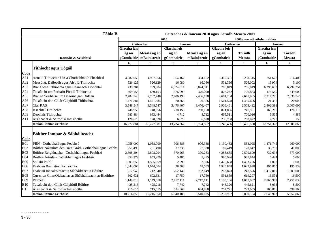| Tábla B<br>Caiteachas & Ioncam 2010 agus Toradh Measta 2009 |                                                         |                     |                   |                     |               |                     |                              |                     |               |
|-------------------------------------------------------------|---------------------------------------------------------|---------------------|-------------------|---------------------|---------------|---------------------|------------------------------|---------------------|---------------|
|                                                             |                                                         |                     |                   | 2010                |               |                     | 2009 (mar atá athshonraithe) |                     |               |
|                                                             |                                                         |                     | <b>Caiteachas</b> |                     | <b>Ioncam</b> | <b>Caiteachas</b>   |                              |                     | <b>Ioncam</b> |
|                                                             |                                                         | <b>Glactha leis</b> |                   | <b>Glactha leis</b> |               | <b>Glactha leis</b> |                              | <b>Glactha leis</b> |               |
|                                                             |                                                         | ag an               | Measta ag an      | ag an               | Measta ag an  | ag an               | <b>Toradh</b>                | ag an               | <b>Toradh</b> |
|                                                             | Rannán & Seirbhísí                                      | gComhairle          | mBainisteoir      | gComhairle          | mBainisteoir  | gComhairle          | <b>Measta</b>                | gComhairle          | <b>Measta</b> |
|                                                             |                                                         | €                   | €                 | €                   | €             | €                   | €                            | €                   | €             |
|                                                             | <b>Tithíocht agus Tógáil</b>                            |                     |                   |                     |               |                     |                              |                     |               |
| Code                                                        |                                                         |                     |                   |                     |               |                     |                              |                     |               |
| A01                                                         | Aonaid Tithíochta UÁ a Chothabháil/a Fheabhsú           | 4,987,056           | 4,987,056         | 364,162             | 364,162       | 5,310,391           | 5,288,315                    | 251,628             | 214,409       |
| A02                                                         | Measúnú, Dáileadh agus Aistriú Tithíochta               | 526,129             | 526,129           | 16,080              | 16,080        | 531,396             | 526,002                      | 15,974              | 5,100         |
| A03                                                         | Riar Cíosa Tithíochta agus Ceannach Tionóntaí           | 739,304             | 739,304           | 6,824,011           | 6,824,011     | 706,849             | 706,849                      | 6,295,639           | 6,294,254     |
| A04                                                         | Tacaíocht um Forbairt Pobail Tithíochta                 | 669,153             | 669,153           | 376,090             | 376,090       | 826,242             | 726,853                      | 478,540             | 549,000       |
| A05                                                         | Riar na Seirbhíse um Dhaoine gan Dídean                 | 2,782,748           | 2,782,748         | 2,406,198           | 2,406,198     | 2,681,204           | 2,641,865                    | 2,314,276           | 2,338,745     |
| A06                                                         | Tacaíocht don Chlár Caipitiúil Tithíochta.              | 1,471,884           | 1,471,884         | 20,366              | 20,366        | 1,501,578           | 1,435,606                    | 21,337              | 20,000        |
| A07                                                         | Clár RAS                                                | 3,548,547           | 3,548,547         | 3,476,407           | 3,476,407     | 2,906,461           | 2,503,492                    | 2,802,381           | 3,005,600     |
| A08                                                         | Iasachtaí Tithíochta                                    | 748,956             | 748,956           | 230,158             | 230,158       | 874,036             | 747,961                      | 160,208             | 170,119       |
| A09                                                         | Deontais Tithíochta                                     | 683,484             | 683,484           | 4,712               | 4,712         | 665,511             | 700,016                      | 3,566               | 4,488         |
| A11                                                         | Áisíneacht & Seirbhísí Inaisíoctha                      | 120,620             | 120,620           | 6,678               | 6,678         | 236,768             | 208,872                      | 7,779               | 150           |
|                                                             | <b>Iomlán Rannán Seirbhíse</b>                          | 16,277,881          | 16,277,88         | 13,724,862          | 13,724,862    | 16,240,436          | 15,485,830                   | 12,351,328          | 12,601,865    |
| Code                                                        | Bóithre Iompar & Sábháilteacht                          |                     |                   |                     |               |                     |                              |                     |               |
| <b>B01</b>                                                  | PBN - Cothabháil agus Feabhsú                           | 1,058,000           | 1,058,000         | 906,388             | 906,388       | 1,190,482           | 583,095                      | 1,471,745           | 960,000       |
| <b>B02</b>                                                  | Bóithre Náisíúnta den Dara Grád- Cothabháil agus Feabhs | 251,490             | 251,490           | 37,330              | 37,330        | 187,419             | 170,847                      | 35,782              | 41,000        |
| <b>B03</b>                                                  | Bóithre Réigiúnacha - Cothabháil agus Feabhsú           | 2,898,204           | 2,898,204         | 370,263             | 370,263       | 4,286,655           | 2,570,699                    | 732,693             | 373,000       |
| <b>B04</b>                                                  | Bóithre Áitiúla - Cothabháil agus Feabhsú               | 853,279             | 853,279           | 5,485               | 5,485         | 990,996             | 981,844                      | 5,424               | 5,000         |
| <b>B05</b>                                                  | Soilsiú Poiblí                                          | 1,505,659           | 1,505,659         | 2,596               | 2,596         | 1,476,698           | 1,463,226                    | 1,007               | 1,000         |
| <b>B06</b>                                                  | Feabhsú Bainistíochta Tráchta                           | 1,044,004           | 1,044,004         | 78,503              | 78,503        | 1,920,848           | 1,027,938                    | 495,800             | 195,539       |
| <b>B07</b>                                                  | Feabhsú Innealtóireachta Sábháilteachta Bóithre         | 212,940             | 212,940           | 762,149             | 762,149       | 213,873             | 247,576                      | 1,412,019           | 1,003,000     |
| <b>B08</b>                                                  | Cur chun Cinn/Oideachas ar Shábháilteacht ar Bhóithre   | 602,631             | 602,631           | 17,750              | 17,750        | 591,839             | 619,207                      | 16,531              | 16,500        |
| <b>B09</b>                                                  | Páirceáil                                               | 1,149,810           | 1,149,810         | 2,717,111           | 2,717,111     | 1,190,106           | 1,057,067                    | 2,766,992           | 2,750,830     |
| <b>B10</b>                                                  | Tacaíocht don Chlár Caipitiúil Bóithre                  | 425,218             | 425,218           | 7,742               | 7,742         | 446,320             | 445,621                      | 8,033               | 8,500         |
| <b>B11</b>                                                  | Áisíneacht & Seirbhísí Inaisíoctha                      | 715,615             | 715,615           | 634,868             | 634,868       | 757,721             | 723,005                      | 700,876             | 598,500       |
|                                                             | <b>Iomlán Rannán Seirbhíse</b>                          | 10,716,850          | 10,716,850        | 5,540,185           | 5,540,185     | 13,252,957          | 9,890,124                    | 7,646,902           | 5,952,869     |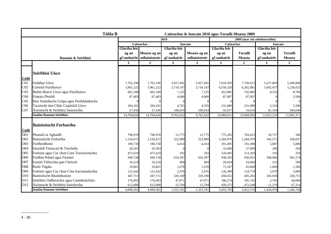|                 | Tábla B<br>Caiteachas & Ioncam 2010 agus Toradh Measta 2009 |                     |                   |                     |               |                     |                              |                     |               |
|-----------------|-------------------------------------------------------------|---------------------|-------------------|---------------------|---------------|---------------------|------------------------------|---------------------|---------------|
|                 |                                                             |                     |                   | 2010                |               |                     | 2009 (mar atá athshonraithe) |                     |               |
|                 |                                                             |                     | <b>Caiteachas</b> |                     | <b>Ioncam</b> | <b>Caiteachas</b>   |                              | <b>Ioncam</b>       |               |
|                 |                                                             | <b>Glactha leis</b> |                   | <b>Glactha leis</b> |               | <b>Glactha leis</b> |                              | <b>Glactha leis</b> |               |
|                 |                                                             | ag an               | Measta ag an      | ag an               | Measta ag an  | ag an               | <b>Toradh</b>                | ag an               | <b>Toradh</b> |
|                 | Rannán & Seirbhísí                                          | gComhairle          | mBainisteoir      | gComhairle          | mBainisteoir  | gComhairle          | <b>Measta</b>                | gComhairle          | <b>Measta</b> |
|                 |                                                             | €                   | €                 | €                   | €             | €                   | €                            | €                   | €             |
|                 |                                                             |                     |                   |                     |               |                     |                              |                     |               |
|                 | <b>Seirbhísí Uisce</b>                                      |                     |                   |                     |               |                     |                              |                     |               |
| Code            |                                                             |                     |                   |                     |               |                     |                              |                     |               |
| CO <sub>1</sub> | Soláthar Uisce                                              | 7,762,196           | 7,762,196         | 5,927,941           | 5,927,941     | 7,610,593           | 7,730,615                    | 5,237,803           | 5,500,000     |
| CO <sub>2</sub> | Cóireáil Fuíolluisce                                        | 5,961,222           | 5,961,222         | 3,718,147           | 3,718,147     | 6,556,320           | 6,282,881                    | 5,692,457           | 5,230,025     |
| CO <sub>3</sub> | Bailiú Muirir Uisce agus Fuíolluisce                        | 662,180             | 662,180           | 7,125               | 7,125         | 452,885             | 702,885                      | 8,535               | 8,706         |
| CO <sub>4</sub> | Fóntais Phoiblí                                             | 87,483              | 87,483            | 4,000               | 4,000         | 87,907              | 87,907                       |                     | 3,500         |
| CO <sub>5</sub> | Riar Suiteálacha Grúpa agus Príobháideacha                  |                     |                   |                     |               |                     |                              |                     | $\Omega$      |
| C <sub>06</sub> | Tacaíocht don Chlár Caipitiúil Uisce                        | 204,101             | 204,101           | 4,765               | 4,765         | 231,089             | 231,089                      | 5,319               | 5,500         |
| CO7             | Áisíneacht & Seirbhísí Inaisíoctha                          | 27,436              | 27,436            | 100,654             | 100,654       | 42,017              | 33,616                       | 81,104              | 344,640       |
|                 | <b>Iomlán Rannán Seirbhíse</b>                              | 14,704,618          | 14,704,618        | 9,762,632           | 9,762,632     | 14,980,811          | 15,068,993                   | 11,025,218          | 11,092,371    |
|                 |                                                             |                     |                   |                     |               |                     |                              |                     |               |
|                 | <b>Bainistíocht Forbartha</b>                               |                     |                   |                     |               |                     |                              |                     |               |
| Code            |                                                             |                     |                   |                     |               |                     |                              |                     |               |
| D <sub>01</sub> | Pleanáil ar Aghaidh                                         | 796,976             | 796,976           | 12,775              | 12,775        | 775,283             | 763,613                      | 10,737              | 100           |
| D <sub>02</sub> | Bainistíocht Forbartha                                      | 1,156,672           | 1,156,672         | 323,989             | 323,989       | 1,284,979           | 1,284,979                    | 545,571             | 338,837       |
| D03             | Forfheidhmiú                                                | 190,730             | 190,730           | 4,414               | 4,414         | 191,495             | 191,496                      | 5,087               | 5,000         |
| D04             | Saoráidí Tionscail & Tráchtála                              | 26,503              | 26,503            |                     |               | 32,689              | 27,689                       | 206                 | 250           |
| D <sub>05</sub> | Forbairt agus Cur chun Cinn Turasóireachta                  | 475,619             | 475,619           | 103                 | 103           | 518,485             | 513,303                      | 193                 | 250           |
| D06             | Feidhm Pobail agus Fiontair                                 | 949,728             | 949,728           | 624,397             | 624,397       | 938,393             | 930,951                      | 508,966             | 565,274       |
| D07             | Eastáit Tithíochta gan Chríoch                              | 16,218              | 16,218            | 404                 | 404           | 20,434              | 16,684                       | 525                 | 500           |
| D <sub>08</sub> | Rialú Tógála                                                | 29,601              | 29,601            | 1,678               | 1,678         | 71,347              | 65,600                       | 1,609               | 1,500         |
| D09             | Forbairt agus Cur chun Cinn Eacnamaíochta                   | 121,642             | 121,642           | 2,976               | 2,976         | 126,389             | 124,770                      | 2,979               | 3,000         |
| D10             | Bainistíocht Réadmhaoine                                    | 447,711             | 447,711           | 320,100             | 320,100       | 450,652             | 445,202                      | 345,030             | 320,715       |
| D11             | Seirbhísí Oidhreachta agus Caomhnúcháin                     | 176,093             | 176,093           | 47,071              | 47,071        | 186,274             | 185,742                      | 2,703               | 44,000        |
| D <sub>12</sub> | Áisíneacht & Seirbhísí Inaisíoctha                          | 612,008             | 612,008           | 15,794              | 15,794        | 459,375             | 472,548                      | 11,370              | 67,314        |
|                 | <b>Iomlán Rannán Seirbhíse</b>                              | 4,999,501           | 4,999,501         | 1,353,701           | 1,353,701     | 5,055,795           | 5,022,576                    | 1,434,976           | 1,346,740     |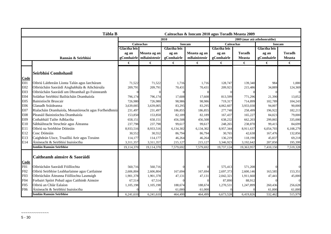| <b>Tábla B</b><br>Caiteachas & Ioncam 2010 agus Toradh Measta 2009 |                                                        |                     |                         |                     |               |                   |                              |               |                |
|--------------------------------------------------------------------|--------------------------------------------------------|---------------------|-------------------------|---------------------|---------------|-------------------|------------------------------|---------------|----------------|
|                                                                    |                                                        |                     |                         | 2010                |               |                   | 2009 (mar atá athshonraithe) |               |                |
|                                                                    |                                                        |                     | <b>Caiteachas</b>       |                     | <b>Ioncam</b> | <b>Caiteachas</b> |                              | <b>Ioncam</b> |                |
|                                                                    |                                                        | <b>Glactha leis</b> |                         | <b>Glactha leis</b> |               | Glactha leis      |                              | Glactha leis  |                |
|                                                                    |                                                        | ag an               | Measta ag an            | ag an               | Measta ag an  | ag an             | <b>Toradh</b>                | ag an         | <b>Toradh</b>  |
|                                                                    | Rannán & Seirbhísí                                     |                     | gComhairle mBainisteoir | gComhairle          | mBainisteoir  | gComhairle        | <b>Measta</b>                | gComhairle    | <b>Measta</b>  |
|                                                                    |                                                        | €                   | €                       | €                   | €             | €                 | €                            | €             | €              |
| Code                                                               | Seirbhísí Comhshaoil                                   |                     |                         |                     |               |                   |                              |               |                |
| E01                                                                | Oibriú Láithreáin Líonta Talún agus Iarchúram          | 71,522              | 71,522                  | 1,716               | 1,716         | 128,747           | 139,340                      | 984           | 1,000          |
| E02                                                                | Oibriúcháin Saoráidí Aisghabhála & Athchúrsála         | 209,791             | 209,791                 | 70,431              | 70,431        | 209,921           | 215,486                      | 34,889        | 124,369        |
| E03                                                                | Oibriúcháin Saoráidí um Dhramhaíl go Fuinneamh         |                     |                         |                     |               |                   |                              |               | $\Omega$       |
| E04                                                                | Soláthar Seirbhísí Bailiúcháin Dramhaíola              | 796,174             | 796,174                 | 17,608              | 17,608        | 813,599           | 771,296                      | 21,390        | 13,052         |
| <b>E05</b>                                                         | Bainistíocht Bruscair                                  | 726,980             | 726,980                 | 98,986              | 98,986        | 719,317           | 714,899                      | 102,789       | 104,243        |
| E06                                                                | Glanadh Sráideanna                                     | 3,639,005           | 3,639,005               | 83,295              | 83,295        | 4,062,607         | 3,933,030                    | 94,007        | 90,000         |
| E07                                                                | Rialacháin Dramhaíola, Monatóireacht agus Forfheidhmiú | 231,497             | 231,497                 | 186,855             | 186,855       | 277,748           | 258,499                      | 196,922       | 182,213        |
| <b>E08</b>                                                         | Pleanáil Bainistíochta Dramhaíola                      | 153,850             | 153,850                 | 82,189              | 82,189        | 167,437           | 165,227                      | 84,023        | 79,000         |
| E09                                                                | Cothabháil Tailte Adhlactha                            | 658,151             | 658,151                 | 456,508             | 456,508       | 638,232           | 662,203                      | 299,865       | 335,000        |
| E10                                                                | Sábháilteacht Struchtúr agus Áiteanna                  | 237,798             | 237,798                 | 99,617              | 99,617        | 248,265           | 238,870                      | 99,415        | 84,699         |
| E11                                                                | Oibriú na Seirbhíse Dóiteáin                           | 8,933,516           | 8,933,516               | 6,134,302           | 6,134,302     | 8,957,344         | 8,911,637                    | 6,054,703     | 6,108,279      |
| E12                                                                | Cosc Dóiteáin                                          | 30,552              | 30,552                  | 86,794              | 86,794        | 30,765            | 42,638                       | 167,476       | 132,856        |
| E13                                                                | Caighdeán Uisce, Truailliú Aeir agus Torainn           | 114,177             | 114,177                 | 46,264              | 46,264        | 136,219           | 118,190                      | 45,837        | 69,218         |
| E14                                                                | Áisíneacht & Seirbhísí Inaisíoctha                     | 3,311,357           | 3,311,357               | 215,127             | 215,127       | 3,346,923         | 3,192,642                    | 207,850       | 195,399        |
|                                                                    | <b>Iomlán Rannán Seirbhíse</b>                         | 19,114,370          | 19,114,370              | 7,579,692           | 7,579,692     | 19,737,124        | 19,363,957                   | 7,410,150     | 7,519,328      |
|                                                                    | Caitheamh aimsire & Saoráidí                           |                     |                         |                     |               |                   |                              |               |                |
| Code                                                               |                                                        |                     |                         |                     |               |                   |                              |               |                |
| F01                                                                | Oibriúcháin Saoráidí Fóillíochta                       | 560,716             | 560,716                 |                     |               | 575,413           | 571,208                      |               | $\overline{0}$ |
| F <sub>02</sub>                                                    | Oibriú Seirbhíse Leabharlainne agus Cartlainne         | 2,606,804           | 2,606,804               | 167,694             | 167,694       | 2,697,373         | 2,600,146                    | 163,585       | 153,351        |
| F03                                                                | Oibriúcháin Áiteanna Fóillíochta Lasmuigh              | 1,901,378           | 1,901,378               | 47,131              | 47,131        | 2,042,321         | 1,911,660                    | 47,441        | 45,000         |
| F04                                                                | Forbairt Spóirt Pobail agus Caithimh Aimsire           | 67,514              | 67,514                  |                     |               | 87,890            | 88,912                       |               | $\Omega$       |
| F05                                                                | Oibriú an Chlár Ealaíon                                | 1,105,198           | 1,105,198               | 188,674             | 188,674       | 1,270,531         | 1,247,899                    | 260,436       | 256,628        |
| F <sub>06</sub>                                                    | Áisíneacht & Seirbhísí Inaisíoctha                     |                     |                         | 61,000              | 61,000        |                   |                              | 61,000        | 61,000         |
|                                                                    | <b>Iomlán Rannán Seirbhíse</b>                         | 6,241,610           | 6,241,610               | 464,499             | 464,499       | 6,673,528         | 6,419,826                    | 532,462       | 515,979        |

 $\sim$   $\sim$   $\sim$   $\sim$   $\sim$   $\sim$   $\sim$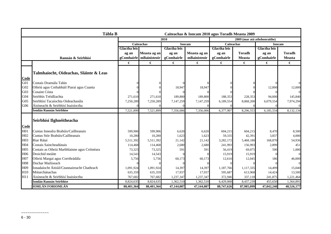|                 | Tábla B<br>Caiteachas & Ioncam 2010 agus Toradh Measta 2009 |                     |                   |                     |               |                     |                              |                     |                |
|-----------------|-------------------------------------------------------------|---------------------|-------------------|---------------------|---------------|---------------------|------------------------------|---------------------|----------------|
|                 |                                                             |                     |                   | 2010                |               |                     | 2009 (mar atá athshonraithe) |                     |                |
|                 |                                                             |                     | <b>Caiteachas</b> |                     | <b>Ioncam</b> | <b>Caiteachas</b>   |                              |                     | <b>Ioncam</b>  |
|                 |                                                             | <b>Glactha leis</b> |                   | <b>Glactha leis</b> |               | <b>Glactha leis</b> |                              | <b>Glactha leis</b> |                |
|                 |                                                             | ag an               | Measta ag an      | ag an               | Measta ag an  | ag an               | <b>Toradh</b>                | ag an               | <b>Toradh</b>  |
|                 | Rannán & Seirbhísí                                          | gComhairle          | mBainisteoir      | gComhairle          | mBainisteoir  | gComhairle          | <b>Measta</b>                | gComhairle          | <b>Measta</b>  |
|                 |                                                             | €                   | €                 | €                   | €             | €                   | €                            | €                   | €              |
|                 | Talmhaíocht, Oideachas, Sláinte & Leas                      |                     |                   |                     |               |                     |                              |                     |                |
| Code            |                                                             |                     |                   |                     |               |                     |                              |                     |                |
| G <sub>01</sub> | Costais Draenála Talún                                      |                     |                   |                     |               |                     |                              |                     | $\overline{0}$ |
| G02<br>G03      | Oibriú agus Cothabháil Piaraí agus Cuanta<br>Cosaint Cósta  |                     |                   | 18,947              | 18,947        |                     |                              | 12,000              | 12,000         |
| G04             | Seirbhís Tréidliachta                                       | 271,610             | 271,610           | 189,800             | 189,800       | 188,353             | 228,353                      | 94,000              | 145,840        |
| G <sub>05</sub> | Seirbhísí Tacaíochta Oideachasúla                           | 7,250,289           | 7,250,289         | 7,147,259           | 7,147,259     | 6,189,554           | 8,068,200                    | 6,079,554           | 7,974,294      |
| G06             | Áisíneacht & Seirbhísí Inaisíoctha                          |                     |                   |                     |               |                     |                              |                     |                |
|                 | Iomlán Rannán Seirbhíse                                     | 7,521,899           | 7,521,899         | 7,356,006           | 7,356,006     | 6,377,907           | 8,296,553                    | 6,185,554           | 8,132,134      |
|                 |                                                             |                     |                   |                     |               |                     |                              |                     |                |
|                 | Seirbhísí Ilghnéitheacha                                    |                     |                   |                     |               |                     |                              |                     |                |
| Code            |                                                             |                     |                   |                     |               |                     |                              |                     |                |
| H01             | Cuntas Innealra Brabúis/Caillteanais                        | 599,906             | 599,906           | 6,620               | 6,620         | 604,215             | 604,215                      | 8,470               | 8,500          |
| H <sub>02</sub> | Cuntas Stór Brabúis/Caillteanais                            | 10,280              | 10,280            | 1,623               | 1,623         | 59,335              | 42,391                       | 3,837               | 4,000          |
| H03             | Riar Rátaí                                                  | 5,511,392           | 5,511,392         | 21,142              | 21,142        | 3,282,172           | 5,468,180                    | 168,870             | 54,936         |
| H04             | Costais Saincheadúnais                                      | 114,468             | 114,468           | 2,680               | 2,680         | 241,993             | 156,993                      | 2,899               | 451            |
| H <sub>05</sub> | Costais as Oibriú Marbhlainne agus Cróinéara                | 73,325              | 73,325            | 591                 | 591           | 56,419              | 69,075                       | 590                 | 1,000          |
| H <sub>06</sub> | Droichid meáite                                             | 14,543              | 14,543            |                     |               | 15,919              | 15,919                       |                     | $\overline{0}$ |
| H07             | Oibriú Margaí agus Corrthrádála                             | 5,756               | 5,756             | 60,173              | 60,173        | 12,616              | 12,045                       | 186                 | 46,000         |
| <b>H08</b>      | Dochar Mailíseach                                           |                     |                   |                     |               |                     |                              |                     |                |
| H09             | Ionadaíocht Áitiúil/Ceannaireacht Chathrach                 | 1,091,924           | 1,091,924         | 14,397              | 14,397        | 1,187,766           | 1,117,335                    | 14,499              | 15,040         |
| H10             | Mótarchánachas                                              | 635,359             | 635,359           | 17,937              | 17,937        | 595,687             | 613,968                      | 14,424              | 13,500         |
| H11             | Áisíneacht & Seirbhísí Inaisíoctha                          | 767,682             | 767,682           | 1,237,347           | 1,237,347     | 372,946             | 337,118                      | 241,875             | 1,221,464      |
|                 | Iomlán Rannán Seirbhíse                                     | 8,824,635           | 8,824,635         | 1,362,510           | 1,362,510     | 6,429,068           | 8,437,239                    | 455,650             | 1,364,891      |
|                 | <b>IOMLÁN FORIOMLÁN</b>                                     | 88,401,364          | 88,401,364        | 47,144,087          | 47,144,087    | 88,747,626          | 87,985,099                   | 47,042,240          | 48,526,177     |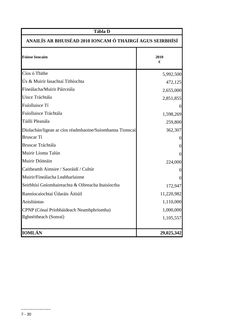| Tábla D                                                  |                  |  |  |  |  |
|----------------------------------------------------------|------------------|--|--|--|--|
| ANAILÍS AR BHUISÉAD 2010 IONCAM Ó THAIRGÍ AGUS SEIRBHÍSÍ |                  |  |  |  |  |
| <b>Foinse Ioncaim</b>                                    | 2010<br>€        |  |  |  |  |
| Cíos ó Thithe                                            | 5,992,500        |  |  |  |  |
| Ús & Muirir Iasachtaí Tithíochta                         | 472,125          |  |  |  |  |
| Fíneálacha/Muirir Páirceála                              | 2,655,000        |  |  |  |  |
| Uisce Tráchtála                                          | 2,851,855        |  |  |  |  |
| Fuíolluisce Tí                                           | $\overline{0}$   |  |  |  |  |
| Fuíolluisce Tráchtála                                    | 1,598,269        |  |  |  |  |
| Táillí Pleanála                                          | 259,800          |  |  |  |  |
| Díolachán/ligean ar cíos réadmhaoine/Suíomhanna Tionscai | 362,307          |  |  |  |  |
| <b>Bruscar</b> Tí                                        | 0                |  |  |  |  |
| Bruscar Tráchtála                                        | $\boldsymbol{0}$ |  |  |  |  |
| Muirir Líonta Talún                                      | $\overline{0}$   |  |  |  |  |
| Muirir Dóiteáin                                          | 224,000          |  |  |  |  |
| Caitheamh Aimsire / Saoráidí / Cultúr                    | 0                |  |  |  |  |
| Muirir/Fíneálacha Leabharlainne                          | $\overline{0}$   |  |  |  |  |
| Seirbhísí Gníomhaireachta & Oibreacha Inaisíoctha        | 172,947          |  |  |  |  |
| Ranníocaíochtaí Údaráis Áitiúil                          | 11,220,982       |  |  |  |  |
| Aoisliúntas                                              | 1,110,000        |  |  |  |  |
| CPNP (Cónaí Príobháideach Neamhphríomha)                 | 1,000,000        |  |  |  |  |
| Ilghnéitheach (Sonraí)                                   | 1,105,557        |  |  |  |  |
|                                                          |                  |  |  |  |  |
| <b>IOMLÁN</b>                                            | 29,025,342       |  |  |  |  |

~~~~~~~~~~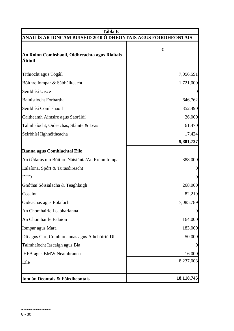| Tábla E                                                       |                  |  |  |  |  |  |  |
|---------------------------------------------------------------|------------------|--|--|--|--|--|--|
| ANAILÍS AR IONCAM BUISÉID 2010 Ó DHEONTAIS AGUS FÓIRDHEONTAIS |                  |  |  |  |  |  |  |
| An Roinn Comhshaoil, Oidhreachta agus Rialtais<br>Áitiúil     | €                |  |  |  |  |  |  |
| Tithíocht agus Tógáil                                         | 7,056,591        |  |  |  |  |  |  |
| Bóithre Iompar & Sábháilteacht                                | 1,721,000        |  |  |  |  |  |  |
| Seirbhísí Uisce                                               | $\theta$         |  |  |  |  |  |  |
| Bainistíocht Forbartha                                        | 646,762          |  |  |  |  |  |  |
| Seirbhísí Comhshaoil                                          | 352,490          |  |  |  |  |  |  |
| Caitheamh Aimsire agus Saoráidí                               | 26,000           |  |  |  |  |  |  |
| Talmhaíocht, Oideachas, Sláinte & Leas                        | 61,470           |  |  |  |  |  |  |
| Seirbhísí Ilghnéitheacha                                      | 17,424           |  |  |  |  |  |  |
|                                                               | 9,881,737        |  |  |  |  |  |  |
| Ranna agus Comhlachtaí Eile                                   |                  |  |  |  |  |  |  |
| An tÚdarás um Bóithre Náisiúnta/An Roinn Iompar               | 388,000          |  |  |  |  |  |  |
| Ealaíona, Spórt & Turasóireacht                               | $\Omega$         |  |  |  |  |  |  |
| <b>DTO</b>                                                    | $\boldsymbol{0}$ |  |  |  |  |  |  |
| Gnóthaí Sóisialacha & Teaghlaigh                              | 268,000          |  |  |  |  |  |  |
| Cosaint                                                       | 82,219           |  |  |  |  |  |  |
| Oideachas agus Eolaíocht                                      | 7,085,789        |  |  |  |  |  |  |
| An Chomhairle Leabharlanna                                    | $\boldsymbol{0}$ |  |  |  |  |  |  |
| An Chomhairle Ealaíon                                         | 164,000          |  |  |  |  |  |  |
| Iompar agus Mara                                              | 183,000          |  |  |  |  |  |  |
| Dlí agus Cirt, Comhionannas agus Athchóiriú Dlí               | 50,000           |  |  |  |  |  |  |
| Talmhaíocht Iascaigh agus Bia                                 | $\theta$         |  |  |  |  |  |  |
| HFA agus BMW Neamhranna                                       | 16,000           |  |  |  |  |  |  |
| Eile                                                          | 8,237,008        |  |  |  |  |  |  |
|                                                               |                  |  |  |  |  |  |  |
| Iomlán Deontais & Fóirdheontais                               | 18,118,745       |  |  |  |  |  |  |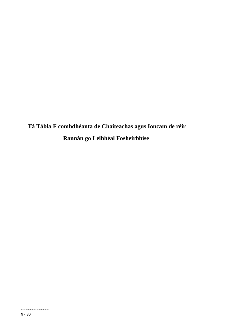**Tá Tábla F comhdhéanta de Chaiteachas agus Ioncam de réir Rannán go Leibhéal Fosheirbhíse**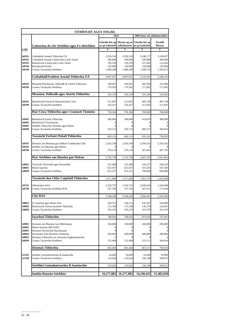|                                                                | TITHÍOCHT AGUS TÓGÁIL                                                                                                                                                           |                                                         |                                                         |                                                         |                                                         |  |  |
|----------------------------------------------------------------|---------------------------------------------------------------------------------------------------------------------------------------------------------------------------------|---------------------------------------------------------|---------------------------------------------------------|---------------------------------------------------------|---------------------------------------------------------|--|--|
|                                                                |                                                                                                                                                                                 | 2010                                                    |                                                         |                                                         | 2009 (mar atá athshonraithe)                            |  |  |
|                                                                | Caiteachas de réir Seirbhíse agus Fo-sheirbhíse                                                                                                                                 | Glactha leis ag<br>an gComhairle                        | Measta ag an<br>mBainisteoir                            | Glactha leis ag<br>an gComhairle                        | Toradh<br>Measta                                        |  |  |
| <u>CÓD</u>                                                     |                                                                                                                                                                                 | €                                                       | €                                                       | €                                                       | €                                                       |  |  |
| <b>A0101</b><br>A0102<br><b>A0103</b><br><b>A0104</b><br>A0199 | Cothabháil Aonaid Tithíochta ÚÁ<br>Cothabháil Aonaid Lóistín don Lucht Taistil<br>Bainistíocht Lóistín don Lucht Taistil<br>Bainistíocht Eastát<br>Costais Tacaíochta Seirbhíse | 2,939,518<br>300,000<br>139,250<br>120,000<br>1,488,289 | 2,939,518<br>300,000<br>139,250<br>120,000<br>1,488,289 | 3,348,177<br>330,000<br>121,462<br>120,000<br>1,390,752 | 3,169,857<br>500,000<br>114,582<br>120,000<br>1,383,875 |  |  |
|                                                                | Cothabháil/Feabhsú Aonaid Tithíochta ÚÁ                                                                                                                                         | 4,987,057                                               | 4,987,057                                               | 5,310,391                                               | 5,288,315                                               |  |  |
| A0201<br>A0299                                                 | Measúnú Riachtanais, Dáileadh & Aistriú Tithíochta<br>Costais Tacaíochta Seirbhíse                                                                                              | 349,567<br>176,562                                      | 349,567<br>176,562                                      | 360,394<br>171,002                                      | 355,000<br>171,002                                      |  |  |
|                                                                | Measúnú, Dáileadh agus Aistriú Tithíochta                                                                                                                                       | 526,129                                                 | 526,129                                                 | 531,396                                                 | 526,002                                                 |  |  |
| A0301<br>A0399                                                 | Bainistíocht Fiacha & Measúnúchán Cíosa<br>Costais Tacaíochta Seirbhíse                                                                                                         | 512,847<br>226,457                                      | 512,847<br>226,457                                      | 495,158<br>211,691                                      | 495,158<br>211,691                                      |  |  |
|                                                                | Riar Cíosa Tithíochta agus Ceannach Tionónta                                                                                                                                    | 739,304                                                 | 739,304                                                 | 706,849                                                 | 706,849                                                 |  |  |
| A0401<br>A0402<br>A0403<br>A0499                               | Bainistíocht Eastát Tithíochta<br>Bainistíocht Tionóntacha<br>Seirbhís Tithíochta Sóisialta agus Pobail<br>Costais Tacaíochta Seirbhíse                                         | 340,000<br>329,153                                      | 340,000<br>$\bf{0}$<br>329,153                          | 419,870<br>$\Omega$<br>406,372                          | 380,000<br>$\mathbf{0}$<br>$\mathbf{0}$<br>346,853      |  |  |
|                                                                |                                                                                                                                                                                 |                                                         |                                                         |                                                         |                                                         |  |  |
|                                                                | Tacaíocht Forbairt Pobail Tithíochta                                                                                                                                            | 669,153                                                 | 669,153                                                 | 826,242                                                 | 726,853                                                 |  |  |
| A0501<br>A0502<br>A0599                                        | Deontais um Dhaoine gan Dídean Comhlachtaí Eile<br>Seirbhís um Dhaoine gan Dídean<br>Costais Tacaíochta Seirbhíse                                                               | 2,503,538<br>279,210                                    | 2,503,538<br>$\theta$<br>279,210                        | 2,394,162<br>287,041                                    | 2,354,162<br>$\theta$<br>287,703                        |  |  |
|                                                                |                                                                                                                                                                                 |                                                         |                                                         |                                                         |                                                         |  |  |
|                                                                | Riar Seirbhíse um Dhaoine gan Dídean                                                                                                                                            | 2,782,748                                               | 2,782,748                                               | 2,681,203                                               | 2,641,865                                               |  |  |
| <b>A0601</b><br>A0602<br>A0699                                 | Tacaíocht Theicniúil agus Riaracháin<br>Muirir Iasachta<br>Costais Tacaíochta Seirbhíse                                                                                         | 232,400<br>623,927<br>615,557                           | 232,400<br>623,927<br>615,557                           | 244,237<br>547,503<br>709,838                           | 248,103<br>547,503<br>640,000                           |  |  |
|                                                                | Tacaíocht don Chlár Caipitiúil Tithíochta                                                                                                                                       | 1,471,884                                               | 1,471,884                                               | 1,501,578                                               | 1,435,606                                               |  |  |
| A0701<br>A0799                                                 | Oibriúcháin RAS<br>Costais Tacaíochta Seirbhíse RAS                                                                                                                             | 3,350,753<br>197,795                                    | 3,350,753<br>197,795                                    | 2,699,430<br>207,031                                    | 2,330,048<br>173,444                                    |  |  |
|                                                                | <b>Clár RAS</b>                                                                                                                                                                 | 3,548,548                                               | 3,548,548                                               | 2,906,461                                               | 2,503,492                                               |  |  |
| A0801<br>A0802<br>A0899                                        | Ús Iasachta agus Muirir Eile<br>Bainistíocht Fiacha Iasachtaí Tithíochta<br>Costais Tacaíochta Seirbhíse                                                                        | 528,513<br>115,108<br>105,335                           | 528,513<br>115,108<br>105,335                           | 636,587<br>136,379<br>101,070                           | 520,000<br>126,891<br>101,070                           |  |  |
|                                                                | Iasachtaí Tithíochta                                                                                                                                                            | 748,956                                                 | 748,956                                                 | 874,036                                                 | 747,961                                                 |  |  |
| A0901<br>A0902<br>A0903                                        | Deontais um Dhaoine faoi Mhíchumas<br>Muirir Iasachta DPG/ERG<br>Deontais Deisiúchán Riachtanach                                                                                | 350,000<br>$\theta$                                     | 350,000<br>$\mathbf{0}$<br>$\mathbf{0}$                 | 260,000<br>$\mathbf{0}$<br>$\overline{0}$               | 260,000<br>$\mathbf{0}$<br>$\boldsymbol{0}$             |  |  |
| A0904<br>A0905<br>A0999                                        | Íocaíochtaí Eile Deontais Tithíochta<br>Deontais Tithíochta um Áiseanna Soghluaisteachta<br>Costais Tacaíochta Seirbhíse                                                        | 200,000<br>133,484                                      | 200,000<br>133,484                                      | 280,000<br>125,511                                      | 280,000<br>$\boldsymbol{0}$<br>160,016                  |  |  |
|                                                                | Deontais Tithíochta                                                                                                                                                             | 683,484                                                 | 683,484                                                 | 665,511                                                 | 700,016                                                 |  |  |
| A1101<br>A1199                                                 | Seirbhís Gníomhaireachta & Inaisíoctha<br>Costais Tacaíochta Seirbhíse                                                                                                          | 10,000<br>110,620                                       | 10,000<br>110,620                                       | 10,000<br>226,768                                       | 10,000<br>198,872                                       |  |  |
|                                                                | Seirbhísí Gníomhaireachta & Inaisíoctha                                                                                                                                         | 120,620                                                 | 120,620                                                 | 236,768                                                 | 208,872                                                 |  |  |
|                                                                | <b>Iomlán Rannán Seirbhíse</b>                                                                                                                                                  | 16,277,883                                              | 16,277,883                                              | 16,240,435                                              | 15,485,830                                              |  |  |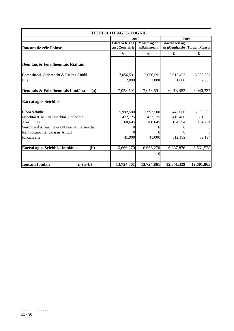|                                                                                  | TITHÍOCHT AGUS TÓGÁIL            |                                 |                                 |                                 |
|----------------------------------------------------------------------------------|----------------------------------|---------------------------------|---------------------------------|---------------------------------|
|                                                                                  |                                  | 2009<br>2010                    |                                 |                                 |
| <b>Ioncam de réir Foinse</b>                                                     | Glactha leis ag<br>an gComhairle | Measta ag an<br>mBainisteoir    | Glactha leis ag                 | an gComhairle Toradh Measta     |
|                                                                                  | €                                | €                               | €                               | €                               |
| Deontais & Fóirdheontais Rialtais                                                |                                  |                                 |                                 |                                 |
| Comhshaoil, Oidhreacht & Rialtas Áitiúil<br>Eile                                 | 7,056,591<br>2,000               | 7,056,591<br>2,000              | 6,012,453<br>1,000              | 6,038,337<br>2,000              |
| Deontais & Fóirdheontais Iomlána<br>(a)                                          | 7,058,591                        | 7,058,591                       | 6,013,453                       | 6,040,337                       |
| Earraí agus Seirbhísí                                                            |                                  |                                 |                                 |                                 |
| Cíosa ó thithe<br>Iasachtaí & Muirir Iasachtaí Tithíochta<br>Aoisliúntas         | 5,992,500<br>472,125<br>160,645  | 5,992,500<br>472,125<br>160,645 | 5,445,000<br>416,400<br>164,294 | 5,983,660<br>381,380<br>164,294 |
| Seirbhísí Áisíneachta & Oibreacha Inaisíoctha<br>Ranníocaíochtaí Údaráis Áitiúil |                                  | 0                               |                                 | $\Omega$                        |
| Ioncam eile                                                                      | 41,000                           | 41,000                          | 312,182                         | 32,194                          |
| Earraí agus Seirbhísí Iomlána<br>(b)                                             | 6,666,270                        | 6,666,270                       | 6,337,876                       | 6,561,528                       |
|                                                                                  |                                  | 0                               |                                 |                                 |
| <b>Ioncam Iomlán</b><br>$c=(a+b)$                                                | 13,724,861                       | 13,724,861                      | 12,351,329                      | 12,601,865                      |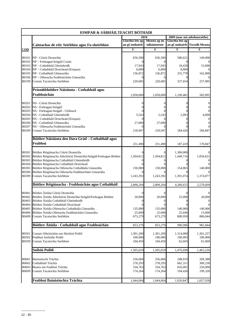|                       | IOMPAR & SÁBHÁILTEACHT BÓTHAIR                                                        |                      |                      |                      |                              |
|-----------------------|---------------------------------------------------------------------------------------|----------------------|----------------------|----------------------|------------------------------|
|                       |                                                                                       |                      | 2010                 |                      | 2009 (mar atá athshonraithe) |
|                       |                                                                                       | Glactha leis ag      | Measta ag an         | Glactha leis ag      |                              |
|                       | Caiteachas de réir Seirbhíse agus Fo-sheirbhíse                                       | an gComhairle        | mBainisteoir         |                      | an gComhairle Toradh Measta  |
| <u>CÓD</u>            |                                                                                       | €                    | €                    | €                    | €                            |
|                       |                                                                                       |                      |                      |                      |                              |
| <b>B0101</b>          | NP - Cóiriú Dromchla                                                                  | 656,500              | 656,500              | 580,621              | 149,000                      |
| B0102                 | NP - Forleagan/Atógáil Cosán                                                          |                      |                      |                      |                              |
|                       | B0103 NP - Cothabháil Gheimhridh                                                      | 17,943               | 17,943               | 18,428               | 15,000                       |
| <b>B0104</b><br>B0105 | NP - Cothabháil Droichead (Eirspan)                                                   | 6,000                | 6,000                | 8,000                |                              |
| <b>B0106</b>          | NP - Cothabháil Ghinearálta<br>NP - Oibreacha Feabhsúcháin Ginearálta                 | 156,872              | 156,872<br>0         | 255,778              | 162,000                      |
| B0199                 | Costais Tacaíochta Seirbhíse                                                          | 220,685              | 220,685              | 327,654              | 257,095                      |
|                       |                                                                                       |                      |                      |                      |                              |
|                       | Príomhbhóithre Náisiúnta - Cothabháil agus                                            |                      |                      |                      |                              |
|                       | Feabhsúchán                                                                           | 1,058,000            | 1,058,000            |                      | 583,095                      |
|                       |                                                                                       |                      |                      | 1,190,481            |                              |
| <b>B0201</b>          | NS - Cóiriú Dromchla                                                                  |                      |                      |                      |                              |
| B0202                 | NS - Forleagan/Atógáil                                                                |                      |                      |                      |                              |
| B0203                 | NS - Forleagan/Atógáil - Uirbeach                                                     |                      |                      |                      |                              |
| <b>B0204</b>          | NS - Cothabháil Gheimhridh                                                            | 5,543                | 5,543                | 2,993                | 4,000                        |
| <b>B0205</b>          | NS - Cothabháil Droichead (Eirspan)                                                   |                      |                      |                      |                              |
| B0206                 | NS - Cothabháil Ghinearálta                                                           | 27,000               | 27,000               |                      |                              |
| B0207                 | NS - Oibreacha Feabhsúcháin Ginearálta                                                |                      |                      |                      |                              |
| B0299                 | Costais Tacaíochta Seirbhíse                                                          | 218,947              | 218,947              | 184,426              | 166,847                      |
|                       |                                                                                       |                      |                      |                      |                              |
|                       | Bóithre Náisiúnta den Dara Grád - Cothabháil agus                                     |                      |                      |                      |                              |
|                       | Feabhsú                                                                               | 251,490              | 251,490              | 187,419              | 170,847                      |
|                       |                                                                                       |                      |                      |                      |                              |
|                       | B0301 Bóithre Réigiúnacha Cóiriú Dromchla                                             |                      |                      | 1,300,000            |                              |
| B0302<br>B0303        | Bóithre Réigiúnacha Athchóiriú Dromchla/Atógáil/Forleagan Bóithre                     | 1,504,812            | 1,504,812            | 1,440,716            | 1,056,622                    |
| B0304                 | Bóithre Réigiúnacha Cothabháil Gheimhridh<br>Bóithre Réigiúnacha Cothabháil Droichead |                      |                      |                      |                              |
| <b>B0305</b>          | Bóithre Réigiúnacha Oibreacha Cothabhála Ginearálta                                   | 150,000              | 150,000              | 154,865              | 140,000                      |
| <b>B0306</b>          | Bóithre Réigiúnacha Oibreacha Feabhsúcháin Ginearálta                                 |                      |                      |                      |                              |
| B0399                 | Costais Tacaíochta Seirbhíse                                                          | 1,243,392            | 1,243,392            | 1,391,074            | 1,374,077                    |
|                       |                                                                                       |                      |                      |                      |                              |
|                       | Bóithre Réigiúnacha - Feabhsúchán agus Cothabháil                                     | 2,898,204            | 2,898,204            | 4,286,655            | 2,570,699                    |
|                       | Bóithre Áitiúla Cóiriú Dromchla                                                       |                      |                      |                      |                              |
| <b>B0401</b><br>B0402 | Bóithre Áitiúla Athchóiriú Dromchla/Atógáil/Forleagan Bóithre                         | 20,000               | 20,000               | 25,000               | 20,000                       |
| B0403                 | Bóithre Áitiúla Cothabháil Gheimhridh                                                 |                      |                      |                      |                              |
| <b>B0404</b>          | Bóithre Áitiúla Cothabháil Droichead                                                  |                      |                      | v                    |                              |
| B0405                 | Bóithre Áitiúla Oibreacha Cothabhála Ginearálta                                       | 135,000              | 135,000              | 140,000              | 140,000                      |
| <b>B0406</b>          | Bóithre Áitiúla Oibreacha Feabhsúcháin Ginearálta                                     | 25,000               | 25,000               | 25,046               | 15.000                       |
| B0499                 | Costais Tacaíochta Seirbhíse                                                          | 673,279              | 673,279              | 800,950              | 806,844                      |
|                       |                                                                                       |                      |                      |                      |                              |
|                       | Bóithre Áitiúla - Cothabháil agus Feabhsúchán                                         | 853,279              | 853,279              | 990,996              | 981,844                      |
|                       |                                                                                       |                      |                      |                      |                              |
| <b>B0501</b><br>B0502 | Costais Oibriúcháin um Shoilsiú Poiblí<br>Feabhsú Soilsithe Poiblí                    | 1,301,200<br>100,000 | 1,301,200<br>100,000 | 1,314,000<br>100,093 | 1,301,257<br>100,000         |
| B0599                 | Costais Tacaíochta Seirbhíse                                                          | 104,459              | 104,459              | 62,605               | 61,969                       |
|                       |                                                                                       |                      |                      |                      |                              |
|                       | Soilsiú Poiblí                                                                        | 1,505,659            | 1,505,659            | 1,476,698            | 1,463,226                    |
|                       |                                                                                       |                      |                      |                      |                              |
| B0601                 | Bainistíocht Tráchta                                                                  | 256,684              | 256,684              | 248,019              | 269,388                      |
| B0602                 | Cothabháil Tráchta                                                                    | 278,293              | 278,293              | 662,311              | 309,230                      |
| B0603                 | Bearta um Feabhsú Tráchta                                                             | 334,763              | 334,763              | 816,091              | 250,000                      |
| B0699                 | Costais Tacaíochta Seirbhíse                                                          | 174,264              | 174,264              | 194,426              | 199,320                      |
|                       |                                                                                       |                      |                      |                      |                              |
|                       | Feabhsú Bainistíochta Tráchta                                                         | 1,044,004            | 1,044,004            | 1,920,847            | 1,027,938                    |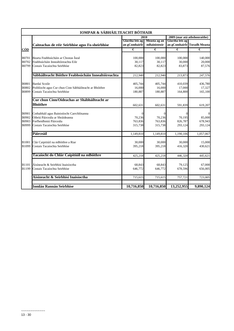|              | IOMPAR & SÁBHÁILTEACHT BÓTHAIR                          |                 |                       |                 |                              |
|--------------|---------------------------------------------------------|-----------------|-----------------------|-----------------|------------------------------|
|              |                                                         |                 | 2010                  |                 | 2009 (mar atá athshonraithe) |
|              |                                                         | Glactha leis ag | Measta ag an          | Glactha leis ag |                              |
|              | Caiteachas de réir Seirbhíse agus Fo-sheirbhíse         | an gComhairle   | mBainisteoir          |                 | an gComhairle Toradh Measta  |
| <u>CÓD</u>   |                                                         | €               | $\overline{\epsilon}$ | €               | €                            |
|              |                                                         |                 |                       |                 |                              |
| B0701        | Bearta Feabhsúcháin ar Chostas Íseal                    | 100,000         | 100,000               | 100,000         | 140,000                      |
| B0702        | Feabhsúcháin Innealtóireachta Eile                      | 30,117          | 30,117                | 30,000          | 20,000                       |
| B0799        | Costais Tacaíochta Seirbhíse                            | 82,823          | 82,823                | 83,873          | 87,576                       |
|              | Sábháilteacht Bóithre Feabhsúcháin Innealtóireachta     | 212,940         | 212,940               | 213,873         | 247,576                      |
| B0801        | Bardaí Scoile                                           | 405,744         | 405,744               | 410,039         | 436,780                      |
| B0802        | Poiblíocht agus Cur chun Cinn Sábháilteacht ar Bhóithre | 16,000          | 16,000                | 17,000          | 17,327                       |
| B0899        | Costais Tacaíochta Seirbhíse                            | 180,887         | 180,887               | 164,800         | 165,100                      |
|              | Cur chun Cinn/Oideachas ar Shábháilteacht ar            |                 |                       |                 |                              |
|              | Bhóithre                                                | 602,631         | 602,631               | 591,839         | 619,207                      |
| B0901        | Cothabháil agus Bainistíocht Carrchlósanna              |                 | $\Omega$              | $\Omega$        | $\Omega$                     |
| B0902        | Oibriú Páirceála ar Shráideanna                         | 70,236          | 70,236                | 70,195          | 85,000                       |
| B0903        | Forfheidhmiú Páirceála                                  | 763,836         | 763,836               | 826,787         | 678,943                      |
| B0999        | Costais Tacaíochta Seirbhíse                            | 315,738         | 315,738               | 293,124         | 293,124                      |
|              | Páirceáil                                               | 1,149,810       | 1,149,810             | 1,190,106       | 1,057,067                    |
| <b>B1001</b> | Clár Caipitiúil na mBóithre a Riar                      | 30,000          | 30,000                | 30,000          | 15,000                       |
| B1099        | Costais Tacaíochta Seirbhíse                            | 395,218         | 395,218               | 416,320         | 430,621                      |
|              | Tacaíocht do Chlár Caipitiúil na mBóithre               | 425,218         | 425,218               | 446,320         | 445,621                      |
| <b>B1101</b> | Áisíneacht & Seirbhísí Inaisíoctha                      | 68,843          | 68,843                | 79,125          | 67,000                       |
| B1199        | Costais Tacaíochta Seirbhíse                            | 646,772         | 646,772               | 678,596         | 656,005                      |
|              | Aísíneacht & Seirbhísí Inaisíoctha                      | 715,615         | 715,615               | 757,721         | 723,005                      |
|              |                                                         |                 |                       |                 |                              |
|              | Iomlán Rannán Seirbhíse                                 | 10,716,850      | 10,716,850            | 13,252,955      | 9,890,124                    |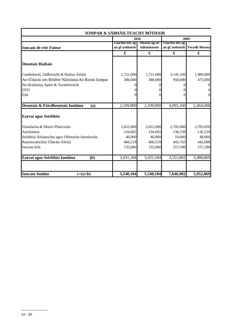| IOMPAR & SÁBHÁILTEACHT BÓTHAIR                   |                 |              |                 |                             |
|--------------------------------------------------|-----------------|--------------|-----------------|-----------------------------|
|                                                  |                 | 2010         |                 | 2009                        |
|                                                  | Glactha leis ag | Measta ag an | Glactha leis ag |                             |
| <b>Ioncam de réir Foinse</b>                     | an gComhairle   | mBainisteoir |                 | an gComhairle Toradh Measta |
|                                                  | €               | €            | €               | €                           |
| <b>Deontais Rialtais</b>                         |                 |              |                 |                             |
| Comhshaoil, Oidhreacht & Rialtas Áitiúil         | 1,721,000       | 1,721,000    | 3,145,100       | 1,989,000                   |
| An tÚdarás um Bóithre Náisiúnta/An Roinn Iompar  | 388,000         | 388,000      | 950,000         | 475,000                     |
| Na hEalaíona, Spórt & Turasóireacht              |                 |              | $\Omega$        |                             |
| <b>DTO</b>                                       |                 |              | 0               |                             |
| Eile                                             |                 | 0            | 0               | 0                           |
| Deontais & Fóirdheontais Iomlána<br>(a)          | 2,109,000       | 2,109,000    | 4,095,100       | 2,464,000                   |
| Earraí agus Seirbhísí                            |                 |              |                 |                             |
| Fíneálacha & Muirir Pháirceála                   | 2,655,000       | 2,655,000    | 2,705,000       | 2,705,050                   |
| Aoisliúntas                                      | 134,665         | 134,665      | 136,539         | 136,539                     |
| Seirbhísí Áisíneachta agus Oibreacha Inaisíoctha | 40,000          | 40,000       | 10,000          | 48,000                      |
| Ranníocaíochtaí Údaráis Áitiúil                  | 466,519         | 466,519      | 442,763         | 442,000                     |
| <b>Ioncam Eile</b>                               | 135,000         | 135,000      | 257,500         | 157,280                     |
| Earraí agus Seirbhísí Iomlána<br>(b)             | 3,431,184       | 3,431,184    | 3,551,802       | 3,488,869                   |
| <b>Ioncam Iomlán</b><br>$c=(a+b)$                | 5,540,184       | 5,540,184    | 7,646,902       | 5,952,869                   |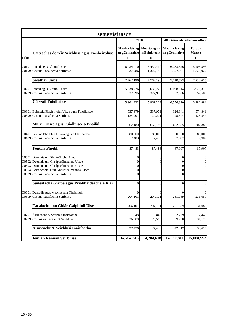|            | <b>SEIRBHÍSÍ UISCE</b>                                                                                                                                                                                            |                                  |                              |                                  |                                                                                              |
|------------|-------------------------------------------------------------------------------------------------------------------------------------------------------------------------------------------------------------------|----------------------------------|------------------------------|----------------------------------|----------------------------------------------------------------------------------------------|
|            |                                                                                                                                                                                                                   |                                  | 2010                         | 2009 (mar atá athshonraithe)     |                                                                                              |
|            | Caiteachas de réir Seirbhíse agus Fo-sheirbhíse                                                                                                                                                                   | Glactha leis ag<br>an gComhairle | Measta ag an<br>mBainisteoir | Glactha leis ag<br>an gComhairle | <b>Toradh</b><br><b>Measta</b>                                                               |
| <u>CÓD</u> |                                                                                                                                                                                                                   | €                                | €                            | €                                | €                                                                                            |
| C0199      | C0101 Ionaid agus Líonraí Uisce<br>Costais Tacaíochta Seirbhíse                                                                                                                                                   | 6,434,410<br>1,327,786           | 6,434,410<br>1,327,786       | 6,283,526<br>1,327,067           | 6,405,593<br>1,325,022                                                                       |
|            | <b>Soláthar Uisce</b>                                                                                                                                                                                             | 7,762,196                        | 7,762,196                    | 7,610,593                        | 7,730,615                                                                                    |
|            | C0201 Ionaid agus Líonraí Uisce<br>C0299 Costais Tacaíochta Seirbhíse                                                                                                                                             | 5,638,226<br>322,996             | 5,638,226<br>322,996         | 6,198,814<br>357,506             | 5,925,375<br>357,506                                                                         |
|            | Cóireáil Fuíolluisce                                                                                                                                                                                              | 5,961,222                        | 5,961,222                    | 6,556,320                        | 6,282,881                                                                                    |
| C0399      | C0301 Bainistiú Fiach i leith Uisce agus Fuíolluisce<br>Costais Tacaíochta Seirbhíse                                                                                                                              | 537,979<br>124,201               | 537,979<br>124,201           | 324,341<br>128,544               | 574,341<br>128,544                                                                           |
|            | Muirir Uisce agus Fuíolluisce a Bhailiú                                                                                                                                                                           | 662,180                          | 662,180                      | 452,885                          | 702,885                                                                                      |
|            | C0401 Fóntais Phoiblí a Oibriú agus a Chothabháil<br>C0499 Costais Tacaíochta Seirbhíse                                                                                                                           | 80,000<br>7,483                  | 80,000<br>7,483              | 80,000<br>7,907                  | 80,000<br>7,907                                                                              |
|            | Fóntais Phoiblí                                                                                                                                                                                                   | 87,483                           | 87,483                       | 87,907                           | 87,907                                                                                       |
|            | C0501 Deontais um Shuiteálacha Aonair<br>C0502 Deontais um Ghrúpscéimeanna Uisce<br>C0503 Deontais um Ghrúpscéimeanna Uisce<br>C0504 Fóirdheontais um Ghrúpscéimeanna Uisce<br>C0599 Costais Tacaíochta Seirbhíse | 0<br>0<br>0<br>0<br>$\Omega$     | 0<br>$\Omega$                | 0<br>0<br>0<br>0<br>0            | $\boldsymbol{0}$<br>$\boldsymbol{0}$<br>$\boldsymbol{0}$<br>$\overline{0}$<br>$\overline{0}$ |
|            | Suiteálacha Grúpa agus Príobháideacha a Riar                                                                                                                                                                      | $\overline{0}$                   | $\overline{0}$               | $\mathbf{0}$                     | $\boldsymbol{0}$                                                                             |
| C0699      | C0601 Dearadh agus Maoirseacht Theicniúil<br>Costais Tacaíochta Seirbhíse                                                                                                                                         | 204,101                          | 204,101                      | 0<br>231,089                     | 0<br>231,089                                                                                 |
|            | Tacaíocht don Chlár Caipitiúil Uisce                                                                                                                                                                              | 204,101                          | 204.101                      | 231,089                          | 231,089                                                                                      |
| C0799      | C0701 Áisíneacht & Seirbhís Inaisíoctha<br>Costais as Tacaíocht Seirbhíse                                                                                                                                         | 848<br>26,588                    | 848<br>26,588                | 2,279<br>39,738                  | 2,440<br>31,176                                                                              |
|            | Áisíneacht & Seirbhísí Inaisíoctha                                                                                                                                                                                | 27,436                           | 27,436                       | 42,017                           | 33,616                                                                                       |
|            | <b>Iomlán Rannán Seirbhíse</b>                                                                                                                                                                                    | 14,704,618                       | 14,704,618                   | 14,980,811                       | 15,068,993                                                                                   |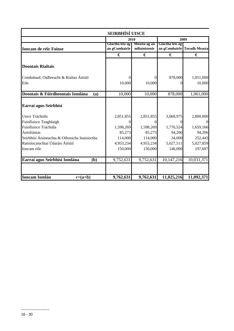| <b>SEIRBHÍSÍ UISCE</b>                        |                 |              |                 |                             |  |  |
|-----------------------------------------------|-----------------|--------------|-----------------|-----------------------------|--|--|
|                                               |                 | 2010         |                 | 2009                        |  |  |
|                                               | Glactha leis ag | Measta ag an | Glactha leis ag |                             |  |  |
| <b>Ioncam de réir Foinse</b>                  | an gComhairle   | mBainisteoir |                 | an gComhairle Toradh Measta |  |  |
|                                               | €               | €            | €               | €                           |  |  |
| <b>Deontais Rialtais</b>                      |                 |              |                 |                             |  |  |
| Comhshaol, Oidhreacht & Rialtas Áitiúil       |                 |              | 878,000         | 1,051,000                   |  |  |
| Eile                                          | 10,000          | 10,000       | Ω               | 10,000                      |  |  |
| Deontais & Fóirdheontais Iomlána<br>(a)       | 10,000          | 10,000       | 878,000         | 1,061,000                   |  |  |
| Earraí agus Seirbhísí                         |                 |              |                 |                             |  |  |
| Uisce Tráchtála                               | 2,851,855       | 2,851,855    | 3,068,975       | 2,800,000                   |  |  |
| Fuíolluisce Teaghlaigh                        | 0               |              |                 | $\overline{0}$              |  |  |
| Fuíolluisce Tráchtála                         | 1,598,269       | 1,598,269    | 1,776,524       | 1,659,166                   |  |  |
| Aoisliúntas                                   | 85,273          | 85,273       | 94,206          | 94,206                      |  |  |
| Seirbhísí Áisíneachta & Oibreacha Inaisíoctha | 114,000         | 114,000      | 34,000          | 252,443                     |  |  |
| Ranníocaíochtaí Údaráis Áitiúil               | 4,953,234       | 4,953,234    | 5,027,511       | 5,027,859                   |  |  |
| Ioncam eile                                   | 150,000         | 150,000      | 146,000         | 197,697                     |  |  |
| Earraí agus Seirbhísí Iomlána<br>(b)          | 9,752,631       | 9,752,631    | 10,147,216      | 10,031,371                  |  |  |
|                                               |                 |              |                 |                             |  |  |
| <b>Ioncam Iomlán</b><br>$c=(a+b)$             | 9,762,631       | 9,762,631    | 11,025,216      | 11,092,371                  |  |  |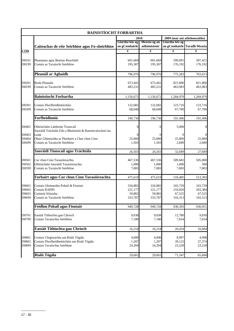|                                  | <b>BAINISTÍOCHT FORBARTHA</b>                                                                                      |                                         |                                         |                                         |                                         |
|----------------------------------|--------------------------------------------------------------------------------------------------------------------|-----------------------------------------|-----------------------------------------|-----------------------------------------|-----------------------------------------|
|                                  |                                                                                                                    |                                         | 2010                                    |                                         | 2009 (mar atá athshonraithe)            |
|                                  | Caiteachas de réir Seirbhíse agus Fo-sheirbhíse                                                                    | Glactha leis ag<br>an gComhairle        | Measta ag an<br>mBainisteoir            | Glactha leis ag                         | an gComhairle Toradh Measta             |
| <u>CÓD</u>                       |                                                                                                                    | €                                       | €                                       | €                                       | €                                       |
| D0101<br>D0199                   | Pleananna agus Beartas Reachtúil<br>Costais as Tacaíocht Seirbhíse                                                 | 601,669<br>195,307                      | 601,669<br>195,307                      | 599,091<br>176,192                      | 587,421<br>176,192                      |
|                                  | Pleanáil ar Aghaidh                                                                                                | 796,976                                 | 796,976                                 | 775,283                                 | 763,613                                 |
| D0201<br>D0299                   | Rialú Pleanála<br>Costais as Tacaíocht Seirbhíse                                                                   | 673,441<br>483,231                      | 673,441<br>483,231                      | 821,896<br>463,083                      | 821,896<br>463,083                      |
|                                  | <b>Bainistíocht Forbartha</b>                                                                                      | 1,156,672                               | 1,156,672                               | 1,284,979                               | 1,284,979                               |
| D0301<br>D0399                   | Costais Fhorfheidhmiúcháin<br>Costais as Tacaíocht Seirbhíse                                                       | 122,682<br>68,048                       | 122,682<br>68,048                       | 123,716<br>67,780                       | 123,716<br>67,780                       |
|                                  | Forfheidhmiú                                                                                                       | 190,730                                 | 190,730                                 | 191,496                                 | 191,496                                 |
| D0401                            | Oibriúcháin Láithreán Tionscail<br>Saoráidí Tráchtála Eile a Bhainistiú & Ranníocaíochtaí ina                      | $\boldsymbol{0}$                        | $\Omega$                                | 5,000                                   | $\boldsymbol{0}$                        |
| D0403<br>D0404<br>D0499          | Leith<br>Obair Ghinearálta ar Fhorbairt a Chur chun Cinn<br>Costais as Tacaíocht Seirbhíse                         | $\Omega$<br>25,000<br>1,503             | 25,000<br>1,503                         | 25,000<br>2,689                         | $\Omega$<br>25,000<br>2,689             |
|                                  | Saoráidí Tionscail agus Tráchtála                                                                                  | 26,503                                  | 26,503                                  | 32,689                                  | 27,689                                  |
| D0501<br>D0502<br>D0599          | Cur chun Cinn Turasóireachta<br>Oibriúcháin Saoráidí Turasóireachta<br>Costais as Tacaíocht Seirbhíse              | 467,536<br>1,000<br>7,083               | 467,536<br>1,000<br>7,083               | 509,682<br>1,000<br>7,803               | 505,000<br>500<br>7,803                 |
|                                  | Forbairt agus Cur chun Cinn Turasóireachta                                                                         | 475,619                                 | 475,619                                 | 518,485                                 | 513,303                                 |
| D0601<br>D0602<br>D0603<br>D0699 | Costais Ghinearálta Pobail & Fiontair<br>Costais RAPID<br>Cuimsiú Sóisialta<br>Costais as Tacaíocht Seirbhíse      | 334,882<br>221,177<br>59,882<br>333,787 | 334,882<br>221,177<br>59,882<br>333,787 | 343,729<br>210,826<br>67,525<br>316,313 | 343,729<br>203,384<br>67,525<br>316,313 |
|                                  | <b>Feidhm Pobail agus Fiontair</b>                                                                                 | 949,728                                 | 949,728                                 | 938,393                                 | 930,951                                 |
| D0701<br>D0799                   | Eastáit Tithíochta gan Chríoch<br>Costais Tacaíochta Seirbhíse                                                     | 9,038<br>7,180                          | 9,038<br>7,180                          | 12,780<br>7,654                         | 9,030<br>7,654                          |
|                                  | Eastáit Tithíochta gan Chríoch                                                                                     | 16,218                                  | 16,218                                  | 20,434                                  | 16,684                                  |
| D0801<br>D0802<br>D0899          | Costais Chigireachta um Rialú Tógála<br>Costais Fhorfheidhmiúcháin um Rialú Tógála<br>Costais Tacaíochta Seirbhíse | 4,000<br>1,207<br>24,394                | 4,000<br>1,207<br>24,394                | 8,997<br>39,122<br>23,228               | 4,998<br>37,374<br>23,228               |
|                                  | Rialú Tógála                                                                                                       | 29,601                                  | 29,601                                  | 71,347                                  | 65,600                                  |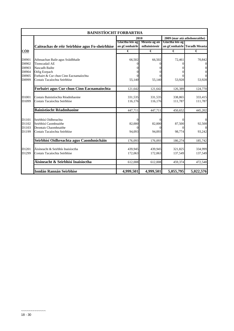|                   | <b>BAINISTÍOCHT FORBARTHA</b>                   |                 |              |                 |                             |  |
|-------------------|-------------------------------------------------|-----------------|--------------|-----------------|-----------------------------|--|
|                   | 2009 (mar atá athshonraithe)<br>2010            |                 |              |                 |                             |  |
|                   |                                                 | Glactha leis ag | Measta ag an | Glactha leis ag |                             |  |
|                   | Caiteachas de réir Seirbhíse agus Fo-sheirbhíse | an gComhairle   | mBainisteoir |                 | an gComhairle Toradh Measta |  |
| CÓD               |                                                 | €               | €            | €               | €                           |  |
|                   |                                                 |                 |              |                 |                             |  |
| D0901             | Athnuachan Baile agus Sráidbhaile               | 66,502          | 66,502       | 72,461          | 70,842                      |  |
| D0902             | Tionscadail AE                                  |                 |              |                 | $\boldsymbol{0}$            |  |
| D0903             | Nascadh Bailte                                  |                 |              |                 | $\boldsymbol{0}$            |  |
| D0904             | Oifig Eorpach                                   |                 |              |                 | $\boldsymbol{0}$            |  |
| D0905             | Forbairt & Cur chun Cinn Eacnamaíochta          |                 |              |                 |                             |  |
| D0999             | Costais Tacaíochta Seirbhíse                    | 55,140          | 55,140       | 53,928          | 53,928                      |  |
|                   | Forbairt agus Cur chun Cinn Eacnamaíochta       | 121,642         | 121,642      | 126,389         | 124,770                     |  |
| D <sub>1001</sub> | Costais Bainistíochta Réadmhaoine               | 331,535         | 331,535      | 338,865         | 333,415                     |  |
| D1099             | Costais Tacaíochta Seirbhíse                    | 116.176         | 116,176      | 111,787         | 111,787                     |  |
|                   | <b>Bainistíocht Réadmhaoine</b>                 | 447,711         | 447,711      | 450,652         | 445,202                     |  |
| D1101             | Seirbhísí Oidhreachta                           | $\Omega$        |              |                 | $\mathbf{0}$                |  |
| D1102             | Seirbhísí Caomhnaithe                           | 82,000          | 82,000       | 87,500          | 92,500                      |  |
| D1103             | Deontais Chaomhnaithe                           |                 |              |                 | $\overline{0}$              |  |
| D1199             | Costais Tacaíochta Seirbhíse                    | 94,093          | 94,093       | 98,774          | 93,242                      |  |
|                   | Seirbhísí Oidhreachta agus Caomhnúcháin         | 176,093         | 176,093      | 186,274         | 185,742                     |  |
| D1201             | Áisíneacht & Seirbhís Inaisíoctha               | 439,945         | 439,945      | 321,825         | 334,999                     |  |
| D1299             | Costais Tacaíochta Seirbhíse                    | 172,063         | 172,063      | 137,549         | 137,549                     |  |
|                   | Áisíneacht & Seirbhísí Inaisíoctha              | 612,008         | 612,008      | 459,374         | 472,548                     |  |
|                   | <b>Iomlán Rannán Seirbhíse</b>                  | 4,999,501       | 4,999,501    | 5,055,795       | 5,022,576                   |  |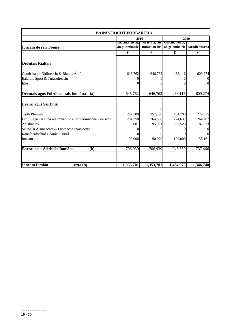| <b>BAINISTÍOCHT FORBARTHA</b>                             |                                  |                              |                 |                             |  |  |
|-----------------------------------------------------------|----------------------------------|------------------------------|-----------------|-----------------------------|--|--|
|                                                           |                                  | 2010                         |                 | 2009                        |  |  |
| <b>Ioncam de réir Foinse</b>                              | Glactha leis ag<br>an gComhairle | Measta ag an<br>mBainisteoir | Glactha leis ag | an gComhairle Toradh Measta |  |  |
|                                                           | €                                | €                            | €               | €                           |  |  |
| <b>Deontais Rialtais</b>                                  |                                  |                              |                 |                             |  |  |
| Comhshaoil, Oidhreacht & Rialtas Áitiúil                  | 646,762                          | 646,762                      | 488,116         | 609,274                     |  |  |
| Ealaíon, Spórt & Turasóireacht                            | 0                                |                              |                 |                             |  |  |
| Eile                                                      | 0                                |                              |                 |                             |  |  |
| Deontais agus Fóirdheontais Iomlána<br>(a)                | 646,762                          | 646,762                      | 488,116         | 609,274                     |  |  |
| Earraí agus Seirbhísí                                     |                                  | 0                            |                 |                             |  |  |
| Táillí Pleanála                                           | 257,500                          | 257,500                      | 484,700         | 229,075                     |  |  |
| Díol/Ligean ar Cíos réadmhaoine eile/Suíomhanna Tionscail | 264,358                          | 264,358                      | 274,637         | 264,707                     |  |  |
| Aoisliúntas                                               | 95,081                           | 95,081                       | 87,523          | 87,523                      |  |  |
| Seirbhísí Áisíneachta & Oibreacha Inaisíoctha             | $\theta$                         |                              |                 |                             |  |  |
| Ranníocaíochtaí Údaráis Áitiúil                           | 0                                |                              |                 |                             |  |  |
| Ioncam eile                                               | 90,000                           | 90,000                       | 100,000         | 156,161                     |  |  |
| Earraí agus Seirbhísí Iomlána<br>(b)                      | 706,939                          | 706,939                      | 946,860         | 737,466                     |  |  |
| <b>Ioncam Iomlán</b><br>$c=(a+b)$                         | 1,353,701                        | 1,353,701                    | 1,434,976       | 1,346,740                   |  |  |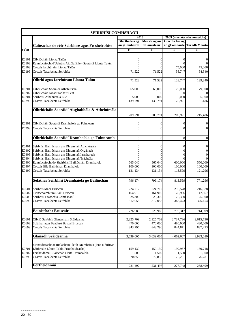|                | SEIRBHÍSÍ COMHSHAOIL                                                                            |                                      |                      |                      |                                      |  |
|----------------|-------------------------------------------------------------------------------------------------|--------------------------------------|----------------------|----------------------|--------------------------------------|--|
|                |                                                                                                 | 2010<br>2009 (mar atá athshonraithe) |                      |                      |                                      |  |
|                |                                                                                                 | Glactha leis ag                      | Measta ag an         | Glactha leis ag      |                                      |  |
|                | Caiteachas de réir Seirbhíse agus Fo-sheirbhíse                                                 | an gComhairle                        | mBainisteoir         |                      | an gComhairle Toradh Measta          |  |
| <u>CÓD</u>     |                                                                                                 | €                                    | €                    | €                    | €                                    |  |
|                |                                                                                                 |                                      |                      |                      |                                      |  |
| E0101          | Oibriúcháin Líonta Talún                                                                        | 0                                    |                      |                      | 0                                    |  |
| E0102<br>E0103 | Ranníocaíocht d'Údaráis Áitiúla Eile - Saoráidí Líonta Talún<br>Costais Iarchúraim Líonta Talún |                                      |                      | 75,000               | 75,000                               |  |
| E0199          | Costais Tacaíochta Seirbhíse                                                                    | 71,522                               | 71,522               | 53,747               | 64,340                               |  |
|                |                                                                                                 |                                      |                      |                      |                                      |  |
|                | Oibriú agus Iarchúram Líonta Talún                                                              | 71,522                               | 71,522               | 128,747              | 139,340                              |  |
| E0201          | Oibriúcháin Saoráidí Athchúrsála                                                                | 65,000                               | 65,000               | 79,000               | 79,000                               |  |
| E0202          | Oibriúcháin Ionad Tabhair Leat                                                                  |                                      |                      |                      |                                      |  |
| E0204          | Seirbhísí Athchúrsála Eile                                                                      | 5,000                                | 5,000                | 5,000                | 5,000                                |  |
| E0299          | Costais Tacaíochta Seirbhíse                                                                    | 139,791                              | 139,791              | 125,921              | 131,486                              |  |
|                | Oibriúcháin Saoráidí Aisghabhála & Athchúrsála                                                  |                                      |                      |                      |                                      |  |
|                |                                                                                                 | 209,791                              | 209,791              | 209,921              | 215,486                              |  |
|                |                                                                                                 |                                      |                      |                      |                                      |  |
| E0301          | Oibriúcháin Saoráidí Dramhaíola go Fuinneamh                                                    |                                      |                      |                      | 0                                    |  |
| E0399          | Costais Tacaíochta Seirbhíse                                                                    |                                      |                      |                      | $\mathbf{0}$                         |  |
|                |                                                                                                 |                                      |                      |                      |                                      |  |
|                | Oibriúcháin Saoráidí Dramhaíola go Fuinneamh                                                    | $\theta$                             | $\theta$             | $\theta$             | $\theta$                             |  |
| E0401          | Seirbhísí Bailiúcháin um Dhramhaíl Athchúrsála                                                  | $\Omega$                             | 0                    | 0                    |                                      |  |
| E0402          | Seirbhísí Bailiúcháin um Dhramhaíl Orgánach                                                     | 0                                    | 0                    | $\Omega$             | $\boldsymbol{0}$<br>$\boldsymbol{0}$ |  |
| E0403          | Seirbhísí Bailiúcháin um Dhramhaíl Iarmharach                                                   |                                      |                      |                      | $\boldsymbol{0}$                     |  |
| E0404          | Seirbhísí Bailiúcháin um Dhramhaíl Tráchtála                                                    | 0                                    |                      |                      | $\theta$                             |  |
| E0406          | Ranníocaíocht do Sheirbhísí Bailiúcháin Dramhaíola                                              | 565,040                              | 565,040              | 600,000              | 550,000                              |  |
| E0407          | Costais Eile Bailiúchán Dramhaíola                                                              | 100,000                              | 100,000              | 100,000              | 100,000                              |  |
| E0499          | Costais Tacaíochta Seirbhíse                                                                    | 131,134                              | 131,134              | 113,599              | 121,296                              |  |
|                | Soláthar Seirbhísí Dramhaíola go Bailiúchán                                                     | 796,174                              | 796,174              | 813,599              | 771,296                              |  |
|                |                                                                                                 |                                      |                      |                      |                                      |  |
| E0501          | Seirbhís Maor Bruscair                                                                          | 224,712                              | 224,712              | 216,578              | 216,578                              |  |
| E0502          | Tionscnaimh um Rialú Bruscair                                                                   | 164,910                              | 164,910              | 128,966              | 147,867                              |  |
| E0503<br>E0599 | Seirbhísí Feasachta Comhshaoil<br>Costais Tacaíochta Seirbhíse                                  | 25,300<br>312,058                    | 25,300<br>312,058    | 25,300<br>348,473    | 25,300<br>325,154                    |  |
|                |                                                                                                 |                                      |                      |                      |                                      |  |
|                | <b>Bainistíocht Bruscair</b>                                                                    | 726,980                              | 726,980              | 719,317              | 714,899                              |  |
| E0601          | Oibriú Seirbhís Glantacháin Sráideanna                                                          |                                      |                      |                      | 2,615,736                            |  |
| E0602          | Soláthar agus Feabhsú Boscaí Bruscair                                                           | 2,325,709<br>470,000                 | 2,325,709<br>470,000 | 2,737,736<br>480,000 | 480,000                              |  |
| E0699          | Costais Tacaíochta Seirbhíse                                                                    | 843,296                              | 843,296              | 844,871              | 837,293                              |  |
|                |                                                                                                 |                                      |                      |                      |                                      |  |
|                | <b>Glanadh Sráideanna</b>                                                                       | 3,639,005                            | 3,639,005            | 4,062,607            | 3,933,030                            |  |
|                | Monatóireacht ar Rialacháin i leith Dramhaíola (lena n-áirítear                                 |                                      |                      |                      |                                      |  |
| E0701          | Láithreáin Líonta Talún Príobháideacha)                                                         | 159,139                              | 159,139              | 199,967              | 180,718                              |  |
| E0702          | Forfheidhmiú Rialachán i leith Dramhaíola                                                       | 1,500                                | 1,500                | 1,500                | 1,500                                |  |
| E0799          | Costais Tacaíochta Seirbhíse                                                                    | 70,858                               | 70,858               | 76,281               | 76,281                               |  |
|                | Forfheidhmiú                                                                                    | 231,497                              | 231,497              | 277,748              | 258,499                              |  |
|                |                                                                                                 |                                      |                      |                      |                                      |  |

 $~\sim$ ~~~~~~~~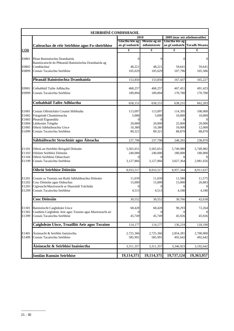|                | <b>SEIRBHÍSÍ COMHSHAOIL</b>                                                               |                         |                       |                                                 |                             |  |
|----------------|-------------------------------------------------------------------------------------------|-------------------------|-----------------------|-------------------------------------------------|-----------------------------|--|
|                |                                                                                           | 2010<br>Glactha leis ag | Measta ag an          | 2009 (mar atá athshonraithe)<br>Glactha leis ag |                             |  |
|                | Caiteachas de réir Seirbhíse agus Fo-sheirbhíse                                           | an gComhairle           | mBainisteoir          |                                                 | an gComhairle Toradh Measta |  |
| <u>CÓD</u>     |                                                                                           | €                       | €                     | €                                               | €                           |  |
| E0801          | Plean Bainistíochta Dramhaíola<br>Ranníocaíocht do Phleanáil Bainistíochta Dramhaíola ag  | $\Omega$                | $\Omega$              | $\Omega$                                        | $\theta$                    |  |
| E0802          | Comhlachtaí                                                                               | 48.221                  | 48,221                | 59,641                                          | 59,641                      |  |
| E0899          | Costais Tacaíochta Seirbhíse                                                              | 105,629                 | 105,629               | 107,796                                         | 105,586                     |  |
|                | Pleanáil Bainistíochta Dramhaíola                                                         | 153,850                 | 153,850               | 167,437                                         | 165,227                     |  |
| E0901          | Cothabháil Tailte Adhlactha                                                               | 468,257                 | 468,257               | 467,451                                         | 491,423                     |  |
| E0999          | Costais Tacaíochta Seirbhíse                                                              | 189,894                 | 189,894               | 170,780                                         | 170,780                     |  |
|                | Cothabháil Tailte Adhlactha                                                               | 658,151                 | 658,151               | 638,231                                         | 662,203                     |  |
| E1001          | Costais Oibriúcháin Cosaint Shibhialta                                                    | 113,097                 | 113,097               | 114,395                                         | 108,000                     |  |
| E1002          | Foirgnimh Chontúirteacha                                                                  | 5,000                   | 5,000                 | 10,000                                          | 10,000                      |  |
| E1003<br>E1004 | Pleanáil Éigeandála<br>Láithreáin Tréigthe                                                | $\Omega$<br>20,000      | 0<br>20,000           | 25,000                                          | 20,000                      |  |
| E1005          | Oibriú Sábháilteachta Uisce                                                               | 10,380                  | 10,380                | 10.000                                          | 12,000                      |  |
| E1099          | Costais Tacaíochta Seirbhíse                                                              | 89,321                  | 89,321                | 88,870                                          | 88,870                      |  |
|                | Sábháilteacht Struchtúir agus Áiteacha                                                    | 237,798                 | 237,798               | 248,265                                         | 238,870                     |  |
| E1101          | Oibriú an tSeirbhís Briogáid Dóiteáin                                                     | 5,565,651               | 5,565,651             | 5,749,980                                       | 5,749,982                   |  |
| E1103          | Oiliúint Seirbhísí Dóiteáin                                                               | 240,000                 | 240,000               | 180,000                                         | 180,000                     |  |
| E1104<br>E1199 | Oibriú Seirbhíse Otharchairr<br>Costais Tacaíochta Seirbhíse                              | $\Omega$<br>3,127,866   | $\Omega$<br>3,127,866 | $\Omega$<br>3,027,364                           | 2,981,656                   |  |
|                | Oibriú Seirbhíse Dóiteáin                                                                 | 8,933,517               | 8,933,517             | 8,957,344                                       | 8,911,637                   |  |
| E1201          | Costais as Teastais um Rialú Sábháilteachta Dóiteáin                                      | 11,039                  | 11,039                | 11,586                                          | 11,575                      |  |
| E1202          | Cosc Dóiteáin agus Oideachas                                                              | 15,000                  | 15,000                | 15,000                                          | 26,883                      |  |
| E1203<br>E1299 | Cigireacht/Maoirseacht ar Shaoráidí Tráchtála<br>Costais Tacaíochta Seirbhíse             | 4,513                   | 4,513                 | 4,180                                           | 4,180                       |  |
|                | <b>Cosc Dóiteáin</b>                                                                      | 30,552                  | 30.552                | 30,766                                          | 42,638                      |  |
| E1301<br>E1302 | Bainistíocht Caighdeáin Uisce<br>Ceadúnú Caighdeán Aeir agus Torainn agus Maoirseacht air | 68,428                  | 68,428                | 90,293                                          | 72,264                      |  |
| E1399          | Costais Tacaíochta Seirbhíse                                                              | 45,749                  | 45,749                | 45,926                                          | 45,926                      |  |
|                | Caighdeán Uisce, Truailliú Aeir agus Torainn                                              | 114,177                 | 114,177               | 136,219                                         | 118,190                     |  |
| E1401<br>E1499 | Áisíneacht & Seirbhís Inaisíoctha<br>Costais Tacaíochta Seirbhíse                         | 2,725,366<br>585,991    | 2,725,366<br>585,991  | 2,854,281<br>492,642                            | 2,700,000<br>492,642        |  |
|                | Áisíneacht & Seirbhísí Inaisíoctha                                                        |                         |                       |                                                 |                             |  |
|                |                                                                                           | 3,311,357               | 3,311,357             | 3,346,923                                       | 3,192,642                   |  |
|                | <b>Iomlán Rannán Seirbhíse</b>                                                            | 19,114,371              | 19,114,371            | 19,737,124                                      | 19,363,957                  |  |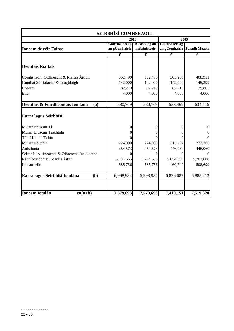| SEIRBHÍSÍ COMHSHAOIL                          |                                  |                              |                                  |                      |  |  |  |
|-----------------------------------------------|----------------------------------|------------------------------|----------------------------------|----------------------|--|--|--|
|                                               |                                  | 2010                         |                                  | 2009                 |  |  |  |
| <b>Ioncam de réir Foinse</b>                  | Glactha leis ag<br>an gComhairle | Measta ag an<br>mBainisteoir | Glactha leis ag<br>an gComhairle | <b>Toradh Measta</b> |  |  |  |
|                                               | €                                | €                            | €                                | €                    |  |  |  |
| <b>Deontais Rialtais</b>                      |                                  |                              |                                  |                      |  |  |  |
| Comhshaoil, Oidhreacht & Rialtas Áitiúil      | 352,490                          | 352,490                      | 305,250                          | 408,911              |  |  |  |
| Gnóthaí Sóisialacha & Teaghlaigh              | 142,000                          | 142,000                      | 142,000                          | 145,399              |  |  |  |
| Cosaint                                       | 82,219                           | 82,219                       | 82,219                           | 75,805               |  |  |  |
| Eile                                          | 4,000                            | 4,000                        | 4,000                            | 4,000                |  |  |  |
| Deontais & Fóirdheontais Iomlána<br>(a)       | 580,709                          | 580,709                      | 533,469                          | 634,115              |  |  |  |
| Earraí agus Seirbhísí                         |                                  |                              |                                  |                      |  |  |  |
| Muirir Bruscair Tí                            |                                  |                              |                                  | $\boldsymbol{0}$     |  |  |  |
| Muirir Bruscair Tráchtála                     |                                  |                              |                                  | $\overline{0}$       |  |  |  |
| Táillí Líonta Talún                           |                                  |                              |                                  | $\Omega$             |  |  |  |
| Muirir Dóiteáin                               | 224,000                          | 224,000                      | 315,787                          | 222,766              |  |  |  |
| Aoisliúntas                                   | 454,573                          | 454,573                      | 446,060                          | 446,060              |  |  |  |
| Seirbhísí Áisíneachta & Oibreacha Inaisíoctha |                                  | 0                            |                                  | $\Omega$             |  |  |  |
| Ranníocaíochtaí Údaráis Áitiúil               | 5,734,655                        | 5,734,655                    | 5,654,086                        | 5,707,688            |  |  |  |
| Ioncam eile                                   | 585,756                          | 585,756                      | 460,749                          | 508,699              |  |  |  |
| Earraí agus Seirbhísí Iomlána<br>(b)          | 6,998,984                        | 6,998,984                    | 6,876,682                        | 6,885,213            |  |  |  |
| <b>Ioncam Iomlán</b><br>$c=(a+b)$             | 7,579,693                        | 7,579,693                    | 7,410,151                        | 7,519,328            |  |  |  |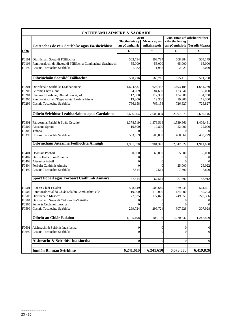|            | <b>CAITHEAMH AIMSIRE &amp; SAORÁIDÍ</b>                       |                                  |                              |                 |                              |
|------------|---------------------------------------------------------------|----------------------------------|------------------------------|-----------------|------------------------------|
|            |                                                               |                                  | 2010                         |                 | 2009 (mar atá athshonraithe) |
|            | Caiteachas de réir Seirbhíse agus Fo-sheirbhíse               | Glactha leis ag<br>an gComhairle | Measta ag an<br>mBainisteoir | Glactha leis ag | an gComhairle Toradh Measta  |
| <u>CÓD</u> |                                                               | €                                | €                            | €               | €                            |
| F0101      | Oibriúcháin Saoráidí Fóillíochta                              | 503,784                          | 503,784                      | 508,384         | 504,179                      |
| F0103      | Ranníocaíocht do Shaoráidí Fóillíochta Comhlachtaí Seachtrach | 55,000                           | 55,000                       | 65,000          | 65,000                       |
| F0199      | Costais Tacaíochta Seirbhíse                                  | 1,932                            | 1,932                        | 2,029           | 2,029                        |
|            | Oibriúcháin Saoráidí Fóillíochta                              | 560,716                          | 560,716                      | 575,413         | 571,208                      |
| F0201      | Oibriúcháin Seirbhíse Leabharlainne                           | 1,624,437                        | 1,624,437                    | 1,693,105       | 1,634,269                    |
| F0202      | Seirbhís Chartlainne                                          | 84,609                           | 84,609                       | 123,341         | 85,000                       |
| F0204      | Ceannach Leabhar, Dlúthdhioscaí, srl.                         | 112,300                          | 112,300                      | 134,800         | 134,750                      |
| F0205      | Ranníocaíochtaí d'Eagraíochtaí Leabharlainne                  | 19,300                           | 19,300                       | 19,300          | 19,300                       |
| F0299      | Costais Tacaíochta Seirbhíse                                  | 766,158                          | 766,158                      | 726,827         | 726,827                      |
|            | Oibriú Seirbhíse Leabharlainne agus Cartlainne                | 2,606,804                        | 2,606,804                    | 2,697,373       | 2,600,146                    |
| F0301      | Páirceanna, Faichí & Spáis Oscailte                           | 1,378,519                        | 1,378,519                    | 1,539,661       | 1,409,431                    |
| F0302      | Áiteanna Spraoi                                               | 19,800                           | 19,800                       | 22,000          | 22,000                       |
| F0303      | Tránna                                                        | 0                                |                              |                 |                              |
| F0399      | Costais Tacaíochta Seirbhíse                                  | 503,059                          | 503,059                      | 480,661         | 480,229                      |
|            | Oibriúcháin Aiteanna Fóillíochta Amuigh                       | 1,901,378                        | 1,901,378                    | 2,042,322       | 1,911,660                    |
| F0401      | Deontais Phobail                                              | 60,000                           | 60,000                       | 55,000          | 55,000                       |
| F0402      | Oibriú Halla Spóirt/Staidiam                                  | $\Omega$                         | $\Omega$                     | $\theta$        |                              |
| F0403      | Áiseanna Pobail                                               |                                  |                              |                 | $\overline{0}$               |
| F0404      | Forbairt Caithimh Aimsire                                     |                                  |                              | 25,000          | 26,022                       |
| F0499      | Costais Tacaíochta Seirbhíse                                  | 7,514                            | 7,514                        | 7,890           | 7,890                        |
|            | Spórt Pobail agus Forbairt Caithimh Aimsire                   | 67,514                           | 67,514                       | 87,890          | 88,912                       |
| F0501      | Riar an Chlár Ealaíon                                         | 508,649                          | 508,649                      | 579,245         | 561,401                      |
| F0502      | Ranníocaíochtaí do Chlár Ealaíon Comhlachtaí eile             | 119,000                          | 119,000                      | 134,000         | 150,203                      |
| F0503      | Oibriúcháin Músaem                                            | 177,825                          | 177,825                      | 249,359         | 228,366                      |
| F0504      | Oibriúcháin Saoráidí Oidhreachta/Léirithe                     | $\boldsymbol{0}$                 | $\overline{0}$               | $\mathbf 0$     | $\mathbf{0}$                 |
|            | F0505 Féilte & Ceolchoirmeacha                                |                                  |                              |                 | $\mathbf{0}$                 |
| F0599      | Costais Tacaíochta Seirbhíse                                  | 299,724                          | 299,724                      | 307,928         | 307,928                      |
|            | Oibriú an Chlár Ealaíon                                       | 1,105,198                        | 1,105,198                    | 1,270,532       | 1,247,899                    |
| F0601      | Áisíneacht & Seirbhís Inaisíoctha                             | $\mathbf{0}$                     | $\overline{0}$               | 0               | $\mathbf{0}$                 |
| F0699      | Costais Tacaíochta Seirbhíse                                  | $\theta$                         | $\Omega$                     | 0               | $\mathbf{0}$                 |
|            | Áisíneacht & Seirbhísí Inaisíoctha                            | $\boldsymbol{0}$                 | $\mathbf{0}$                 | $\Omega$        | $\mathbf{0}$                 |
|            | <b>Iomlán Rannán Seirbhíse</b>                                | 6,241,610                        | 6,241,610                    | 6,673,530       | 6,419,826                    |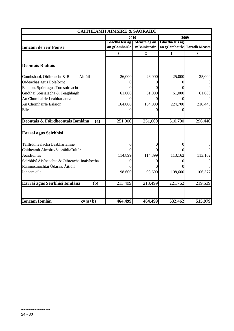|                                               | <b>CAITHEAMH AIMSIRE &amp; SAORÁIDÍ</b> |                              |                                  |                      |  |
|-----------------------------------------------|-----------------------------------------|------------------------------|----------------------------------|----------------------|--|
|                                               |                                         | 2010                         | 2009                             |                      |  |
| <b>Ioncam de réir Foinse</b>                  | Glactha leis ag<br>an gComhairle        | Measta ag an<br>mBainisteoir | Glactha leis ag<br>an gComhairle | <b>Toradh Measta</b> |  |
|                                               | €                                       | €                            | €                                | €                    |  |
| <b>Deontais Rialtais</b>                      |                                         |                              |                                  |                      |  |
| Comhshaol, Oidhreacht & Rialtas Áitiúil       | 26,000                                  | 26,000                       | 25,000                           | 25,000               |  |
| Oideachas agus Eolaíocht                      |                                         |                              |                                  |                      |  |
| Ealaíon, Spórt agus Turasóireacht             |                                         |                              |                                  |                      |  |
| Gnóthaí Sóisialacha & Teaghlaigh              | 61,000                                  | 61,000                       | 61,000                           | 61,000               |  |
| An Chomhairle Leabharlanna                    |                                         | 0                            |                                  |                      |  |
| An Chomhairle Ealaíon                         | 164,000                                 | 164,000                      | 224,700                          | 210,440              |  |
| Eile                                          |                                         |                              |                                  |                      |  |
| Deontais & Fóirdheontais Iomlána<br>(a)       | 251,000                                 | 251,000                      | 310,700                          | 296,440              |  |
| Earraí agus Seirbhísí                         |                                         |                              |                                  |                      |  |
| Táillí/Fíneálacha Leabharlainne               |                                         |                              |                                  |                      |  |
| Caitheamh Aimsire/Saoráidí/Cultúr             |                                         |                              |                                  |                      |  |
| Aoisliúntas                                   | 114,899                                 | 114,899                      | 113,162                          | 113,162              |  |
| Seirbhísí Áisíneachta & Oibreacha Inaisíoctha |                                         |                              |                                  |                      |  |
| Ranníocaíochtaí Údaráis Áitiúil               |                                         |                              |                                  |                      |  |
| Ioncam eile                                   | 98,600                                  | 98,600                       | 108,600                          | 106,377              |  |
| Earraí agus Seirbhísí Iomlána<br>(b)          | 213,499                                 | 213,499                      | 221,762                          | 219,539              |  |
|                                               |                                         |                              |                                  |                      |  |
| <b>Ioncam Iomlán</b><br>$c=(a+b)$             | 464,499                                 | 464,499                      | 532,462                          | 515,979              |  |

 $\sim$ ~~~~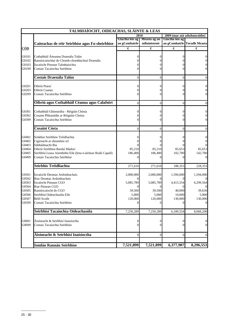|            | TALMHAÍOCHT, OIDEACHAS, SLÁINTE & LEAS                        |                 |                |                 |                              |
|------------|---------------------------------------------------------------|-----------------|----------------|-----------------|------------------------------|
|            |                                                               |                 | 2010           |                 | 2009 (mar atá athshonraithe) |
|            |                                                               | Glactha leis ag | Measta ag an   | Glactha leis ag |                              |
|            | Caiteachas de réir Seirbhíse agus Fo-sheirbhíse               | an gComhairle   | mBainisteoir   |                 | an gComhairle Toradh Measta  |
| <b>CÓD</b> |                                                               | €               | €              | €               | €                            |
| G0101      | Cothabháil Áiteanna Draenála Talún                            | 0               | $_{0}$         | 0               |                              |
| G0102      | Ranníocaíochtaí do Chomh-chomhlachtaí Draenála                |                 |                |                 |                              |
| G0103      |                                                               |                 |                |                 | 0                            |
|            | Íocaíocht Pinsean Talmhaíochta                                |                 |                |                 | 0                            |
| G0199      | Costais Tacaíochta Seirbhíse                                  | 0               |                |                 |                              |
|            | Costais Draenála Talún                                        | $\Omega$        | $\theta$       | $\theta$        | $\theta$                     |
| G0201      | Oibriú Piaraí                                                 | 0               |                | 0               | 0                            |
| G0203      | Oibriú Cuanta                                                 |                 |                |                 | 0                            |
| G0299      | Costais Tacaíochta Seirbhíse                                  | 0               |                |                 | $\mathbf{0}$                 |
|            |                                                               |                 |                |                 |                              |
|            | Oibriú agus Cothabháil Céanna agus Calafoirt                  | $\theta$        | $\overline{0}$ | $\theta$        | $\boldsymbol{0}$             |
| G0301      | Cothabháil Ghinearálta - Réigiún Chósta                       | $\theta$        | 0              | 0               | 0                            |
| G0302      | Cosaint Phleanáilte ar Réigiúin Chósta                        | 0               |                |                 | 0                            |
| G0399      | Costais Tacaíochta Seirbhíse                                  |                 |                |                 | $\boldsymbol{0}$             |
|            |                                                               |                 |                |                 |                              |
|            | <b>Cosaint Cósta</b>                                          | $\Omega$        | $\Omega$       | $\theta$        |                              |
| G0401      | Soláthar Seirbhíse Tréidliachta                               | 0               |                |                 | 0                            |
| G0402      | Cigireacht ar sheamlais srl                                   | 0               |                |                 |                              |
| G0403      | Sábháilteacht Bia                                             |                 |                |                 |                              |
| G0404      | Oibriú Seirbhíse Bardaí Madraí                                | 85,210          | 85,210         | 85,653          | 85,653                       |
| G0405      | Seirbhísí Leasa Ainmhithe Eile (lena n-áirítear Rialú Capall) | 186,400         | 186,400        | 102,700         | 142,700                      |
| G0499      | Costais Tacaíochta Seirbhíse                                  | $\Omega$        |                | 0               |                              |
|            |                                                               |                 |                |                 |                              |
|            | Seirbhís Tréidliachta                                         | 271,610         | 271,610        | 188,353         | 228,353                      |
| G0501      | Iocaíocht Deontas Ardoideachais                               | 2,000,000       | 2,000,000      | 1,594,000       | 1,594,000                    |
| G0502      | Riar Deontas Ardoideachais                                    | $\Omega$        |                |                 |                              |
| G0503      | Íocaíocht Pinsean CGO                                         | 5,085,789       | 5,085,789      | 4,415,554       | 6,299,564                    |
| G0504      | Riar Pinsean CGO                                              | 0               |                |                 |                              |
| G0505      | Ranníocaíocht do CGO                                          | 39,500          | 39,500         | 40,000          | 39,636                       |
| G0506      | Seirbhísí Oideachasúla Eile                                   | 5,000           | 5,000          | 10,000          | 5,000                        |
| G0507      | Béilí Scoile                                                  | 120,000         | 120,000        | 130,000         | 130,000                      |
| G0599      | Costais Tacaíochta Seirbhíse                                  | $\Omega$        | $\Omega$       | $\overline{0}$  | $\boldsymbol{0}$             |
|            | Seirbhísí Tacaíochta Oideachasúla                             | 7,250,289       | 7,250,289      | 6,189,554       | 8,068,200                    |
|            |                                                               |                 |                |                 |                              |
| G0601      | Áisíneacht & Seirbhísí Inaisíoctha                            | 0               | 0              | 0               | $\boldsymbol{0}$             |
| G0699      | Costais Tacaíochta Seirbhíse                                  | $\Omega$        | $\Omega$       | 0               | $\mathbf{0}$                 |
|            | Áisíneacht & Seirbhísí Inaisíoctha                            | $\Omega$        | $\mathbf{0}$   | $\Omega$        | $\mathbf{0}$                 |
|            |                                                               |                 |                |                 |                              |
|            | <b>Iomlán Rannán Seirbhíse</b>                                | 7,521,899       | 7,521,899      | 6,377,907       | 8,296,553                    |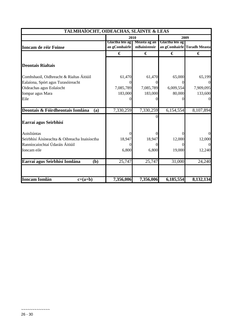| TALMHAÍOCHT, OIDEACHAS, SLÁINTE & LEAS        |                 |              |                 |                             |  |  |  |
|-----------------------------------------------|-----------------|--------------|-----------------|-----------------------------|--|--|--|
|                                               |                 | 2010         |                 | 2009                        |  |  |  |
|                                               | Glactha leis ag | Measta ag an | Glactha leis ag |                             |  |  |  |
| Ioncam de réir Foinse                         | an gComhairle   | mBainisteoir |                 | an gComhairle Toradh Measta |  |  |  |
|                                               | €               | €            | €               | €                           |  |  |  |
| <b>Deontais Rialtais</b>                      |                 |              |                 |                             |  |  |  |
| Comhshaoil, Oidhreacht & Rialtas Áitiúil      | 61,470          | 61,470       | 65,000          | 65,199                      |  |  |  |
| Ealaíona, Spórt agus Turasóireacht            |                 | 0            | $\Omega$        | $\Omega$                    |  |  |  |
| Oideachas agus Eolaíocht                      | 7,085,789       | 7,085,789    | 6,009,554       | 7,909,095                   |  |  |  |
| Iompar agus Mara                              | 183,000         | 183,000      | 80,000          | 133,600                     |  |  |  |
| Eile                                          |                 |              | $\Omega$        |                             |  |  |  |
| Deontais & Fóirdheontais Iomlána<br>(a)       | 7,330,259       | 7,330,259    | 6,154,554       | 8,107,894                   |  |  |  |
| Earraí agus Seirbhísí                         |                 |              |                 |                             |  |  |  |
| Aoisliúntas                                   |                 |              |                 | $\Omega$                    |  |  |  |
| Seirbhísí Áisíneachta & Oibreacha Inaisíoctha | 18,947          | 18,947       | 12,000          | 12,000                      |  |  |  |
| Ranníocaíochtaí Údaráis Áitiúil               |                 |              | $\Omega$        | $\Omega$                    |  |  |  |
| Ioncam eile                                   | 6,800           | 6,800        | 19,000          | 12,240                      |  |  |  |
| Earraí agus Seirbhísí Iomlána<br>(b)          | 25,747          | 25,747       | 31,000          | 24,240                      |  |  |  |
| <b>Ioncam Iomlán</b><br>$c=(a+b)$             | 7,356,006       | 7,356,006    | 6,185,554       | 8,132,134                   |  |  |  |

 $\sim$ ~~~~~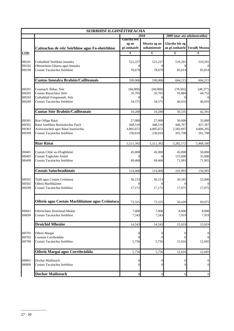| SEIRBHÍSÍ ILGHNÉITHEACHA |                                                                   |                                     |                              |                                  |                      |
|--------------------------|-------------------------------------------------------------------|-------------------------------------|------------------------------|----------------------------------|----------------------|
|                          |                                                                   |                                     | 2010                         | 2009 (mar atá athshonraithe)     |                      |
|                          | Caiteachas de réir Seirbhíse agus Fo-sheirbhíse                   | Glactha leis<br>ag an<br>gComhairle | Measta ag an<br>mBainisteoir | Glactha leis ag<br>an gComhairle | <b>Toradh Measta</b> |
| <u>CÓD</u>               |                                                                   | €                                   | €                            | €                                | €                    |
| H0101                    | Cothabháil Seirbhíse Innealra                                     | 521,227                             | 521,227                      | 519,201                          | 519,201              |
| H0102<br>H0199           | Oibriúcháin Gléasra agus Innealra<br>Costais Tacaíochta Seirbhíse | $\Omega$<br>78,679                  | 78,679                       | 85,014                           | 85,014               |
|                          | Cuntas Innealra Brabúis/Caillteanais                              | 599,906                             | 599,906                      | 604,215                          | 604,215              |
| H0201<br>H0202           | Ceannach Ábhar, Stór<br>Costais Riaracháin Stóir                  | (60,000)<br>35,705                  | (60,000)<br>35,705           | (78, 565)<br>91,884              | (48, 377)<br>44,752  |
| H0203                    | Cothabháil Foirgneamh, Stór                                       | $\Omega$                            |                              |                                  |                      |
| H0299                    | Costais Tacaíochta Seirbhíse                                      | 34,575                              | 34,575                       | 46,016                           | 46,016               |
|                          | Cuntas Stór Brabúis/Caillteanais                                  | 10,280                              | 10,280                       | 59,335                           | 42,391               |
| H0301<br>H0302           | Riar Oifige Rátaí<br>Rátaí Seirbhíse Bainistíochta Fiach          | 27,000<br>448,510                   | 27,000<br>448,510            | 50,000<br>446,767                | 33,000<br>427,267    |
| H0303                    | Aisíocaíochtaí agus Rátaí Inaisíoctha                             | 4,805,072                           | 4,805,072                    | 2,583,697                        | 4,806,205            |
| H0399                    | Costais Tacaíochta Seirbhíse                                      | 230,810                             | 230,810                      | 201,708                          | 201,708              |
|                          | Riar Rátaí                                                        | 5,511,392                           | 5,511,392                    | 3,282,172                        | 5,468,180            |
| H0401<br>H0402           | Costais Chlár na dToghthóirí<br>Costais Toghchán Áitiúil          | 45,000                              | 45,000                       | 45,000<br>125,000                | 50,000<br>35,000     |
| H0499                    | Costais Tacaíochta Seirbhíse                                      | 69,468                              | 69,468                       | 71,993                           | 71,993               |
|                          | Costais Saincheadúnais                                            | 114,468                             | 114,468                      | 241,993                          | 156,993              |
| H0501<br>H0502           | Táillí agus Costais Cróinéara<br>Oibriú Marbhlainne               | 56,153<br>$\Omega$                  | 56,153                       | 39,345                           | 52,000               |
| H0599                    | Costais Tacaíochta Seirbhíse                                      | 17,172                              | 17,172                       | 17,075                           | 17,075               |
|                          | Oibriú agus Costais Marbhlainne agus Cróinéara                    | 73,325                              | 73,325                       | 56,420                           | 69,075               |
| H0601<br>H0699           | Oibriúcháin Droichead Meáite<br>Costais Tacaíochta Seirbhíse      | 7,000<br>7,543                      | 7,000<br>7,543               | 8,000<br>7,919                   | 8,000<br>7,919       |
|                          | <b>Droichid Mheáite</b>                                           | 14,543                              | 14,543                       | 15,919                           | 15,919               |
| H0701                    | Oibriú Margaí                                                     | $\overline{0}$                      | $\Omega$                     | $_{0}$                           |                      |
| H0702<br>H0799           | Ceantair Corrthrádála<br>Costais Tacaíochta Seirbhíse             | $\theta$<br>5,756                   | 5,756                        | 12,616                           | 12,045               |
|                          | Oibriú Margaí agus Corrthrádála                                   | 5,756                               | 5,756                        | 12,616                           | 12,045               |
| H0801<br>H0899           | Dochar Mailíseach<br>Costais Tacaíochta Seirbhíse                 | $\overline{0}$<br>$\Omega$          | 0<br>0                       |                                  | 0<br>$\Omega$        |
|                          | <b>Dochar Mailíseach</b>                                          | $\boldsymbol{0}$                    | $\overline{0}$               | $\mathbf{0}$                     | $\mathbf{0}$         |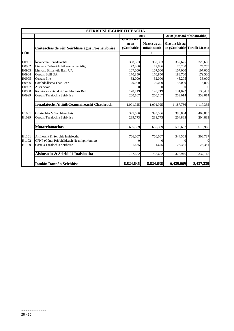| SEIRBHÍSÍ ILGHNÉITHEACHA |                                                 |                                     |                              |                              |                             |  |
|--------------------------|-------------------------------------------------|-------------------------------------|------------------------------|------------------------------|-----------------------------|--|
|                          |                                                 | 2010                                |                              | 2009 (mar atá athshonraithe) |                             |  |
|                          | Caiteachas de réir Seirbhíse agus Fo-sheirbhíse | Glactha leis<br>ag an<br>gComhairle | Measta ag an<br>mBainisteoir | Glactha leis ag              | an gComhairle Toradh Measta |  |
| CÓD                      |                                                 | €                                   | €                            | €                            | €                           |  |
| H0901                    | Íocaíochtaí Ionadaíochta                        | 308,303                             | 308,303                      | 352,625                      | 328,630                     |  |
| H0902                    | Liúntais Cathaoirligh/Leaschathaoirligh         | 72,886                              | 72,886                       | 75,200                       | 74,759                      |  |
| H0903                    | Liúntais Bhliantúla Baill ÚÁ                    | 107,000                             | 107,000                      | 107,000                      | 107,000                     |  |
| H0904                    | Costais Baill ÚÁ                                | 170,850                             | 170,850                      | 188,700                      | 179,500                     |  |
| H0905                    | Costais Eile                                    | 32,000                              | 32,000                       | 45,205                       | 33,000                      |  |
| H0906                    | Comhdhálacha Thar Lear                          | 20,000                              | 20,000                       | 35,000                       | 8,000                       |  |
| H0907                    | Aiscí Scoir                                     | $\Omega$                            |                              |                              | $\Omega$                    |  |
| H0908                    | Ranníocaíochtaí do Chomhlachais Ball            | 120,719                             | 120,719                      | 131,022                      | 133,432                     |  |
| H0999                    | Costais Tacaíochta Seirbhíse                    | 260,167                             | 260,167                      | 253,014                      | 253,014                     |  |
|                          | Ionadaíocht Áitiúil/Ceannaireacht Chathrach     | 1,091,925                           | 1,091,925                    | 1,187,766                    | 1,117,335                   |  |
| H1001                    | Oibriúchán Mótarchánachais                      | 395,586                             | 395,586                      | 390,804                      | 409,085                     |  |
| H1099                    | Costais Tacaíochta Seirbhíse                    | 239,773                             | 239,773                      | 204,883                      | 204,883                     |  |
|                          | Mótarchánachas                                  | 635,359                             | 635,359                      | 595,687                      | 613,968                     |  |
| H1101                    | Áisíneacht & Seirbhís Inaisíoctha               | 766,007                             | 766,007                      | 344,565                      | 308,737                     |  |
| H1102                    | CPNP (Cónaí Príobháideach Neamhphríomha)        |                                     |                              |                              | $\overline{0}$              |  |
| H1199                    | Costais Tacaíochta Seirbhíse                    | 1,675                               | 1,675                        | 28,381                       | 28,381                      |  |
|                          | Áisíneacht & Seirbhísí Inaisíoctha              | 767,682                             | 767,682                      | 372,946                      | 337,118                     |  |
|                          |                                                 |                                     |                              |                              |                             |  |
|                          | <b>Iomlán Rannán Seirbhíse</b>                  | 8,824,636                           | 8,824,636                    | 6,429,069                    | 8,437,239                   |  |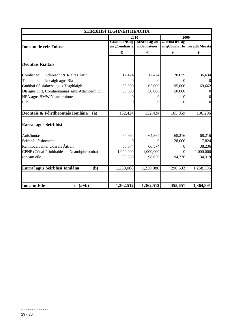| SEIRBHÍSÍ ILGHNÉITHEACHA                        |                                  |                              |                                  |                      |  |  |
|-------------------------------------------------|----------------------------------|------------------------------|----------------------------------|----------------------|--|--|
|                                                 | 2010                             |                              | 2009                             |                      |  |  |
| <b>Ioncam de réir Foinse</b>                    | Glactha leis ag<br>an gComhairle | Measta ag an<br>mBainisteoir | Glactha leis ag<br>an gComhairle | <b>Toradh Measta</b> |  |  |
|                                                 | €                                | €                            | €                                | €                    |  |  |
| <b>Deontais Rialtais</b>                        |                                  |                              |                                  |                      |  |  |
| Comhshaoil, Oidhreacht & Rialtas Áitiúil        | 17,424                           | 17,424                       | 20,059                           | 36,634               |  |  |
| Talmhaíocht, Iascaigh agus Bia                  | 0                                | 0                            | $\Omega$                         | $\overline{0}$       |  |  |
| Gnóthaí Sóisialacha agus Teaghlaigh             | 65,000                           | 65,000                       | 95,000                           | 69,662               |  |  |
| Dlí agus Cirt, Comhionannas agus Athchóiriú Dlí | 50,000                           | 50,000                       | 50,000                           | 0                    |  |  |
| HFA agus BMW Neamhroinne                        |                                  |                              |                                  | $\boldsymbol{0}$     |  |  |
| Eile                                            | 0                                | $\theta$                     | $\Omega$                         | $\overline{0}$       |  |  |
| Deontais & Fóirdheontais Iomlána<br>(a)         | 132,424                          | 132,424                      | 165,059                          | 106,296              |  |  |
| Earraí agus Seirbhísí                           |                                  |                              |                                  |                      |  |  |
| Aoisliúntas                                     | 64,864                           | 64,864                       | 68,216                           | 68,216               |  |  |
| Seirbhísí áisíneachta                           | 0                                | 0                            | 28,000                           | 17,824               |  |  |
| Ranníocaíochtaí Údaráis Áitiúil                 | 66,574                           | 66,574                       |                                  | 38,236               |  |  |
| CPNP (Cónaí Príobháideach Neamhphríomha)        | 1,000,000                        | 1,000,000                    | $\Omega$                         | 1,000,000            |  |  |
| Ioncam eile                                     | 98,650                           | 98,650                       | 194,376                          | 134,319              |  |  |
| Earraí agus Seirbhísí Iomlána<br>(b)            | 1,230,088                        | 1,230,088                    | 290,592                          | 1,258,595            |  |  |
| <b>Ioncam Eile</b><br>$c=(a+b)$                 | 1,362,512                        | 1,362,512                    | 455,651                          | 1,364,891            |  |  |

~~~~~~~~~